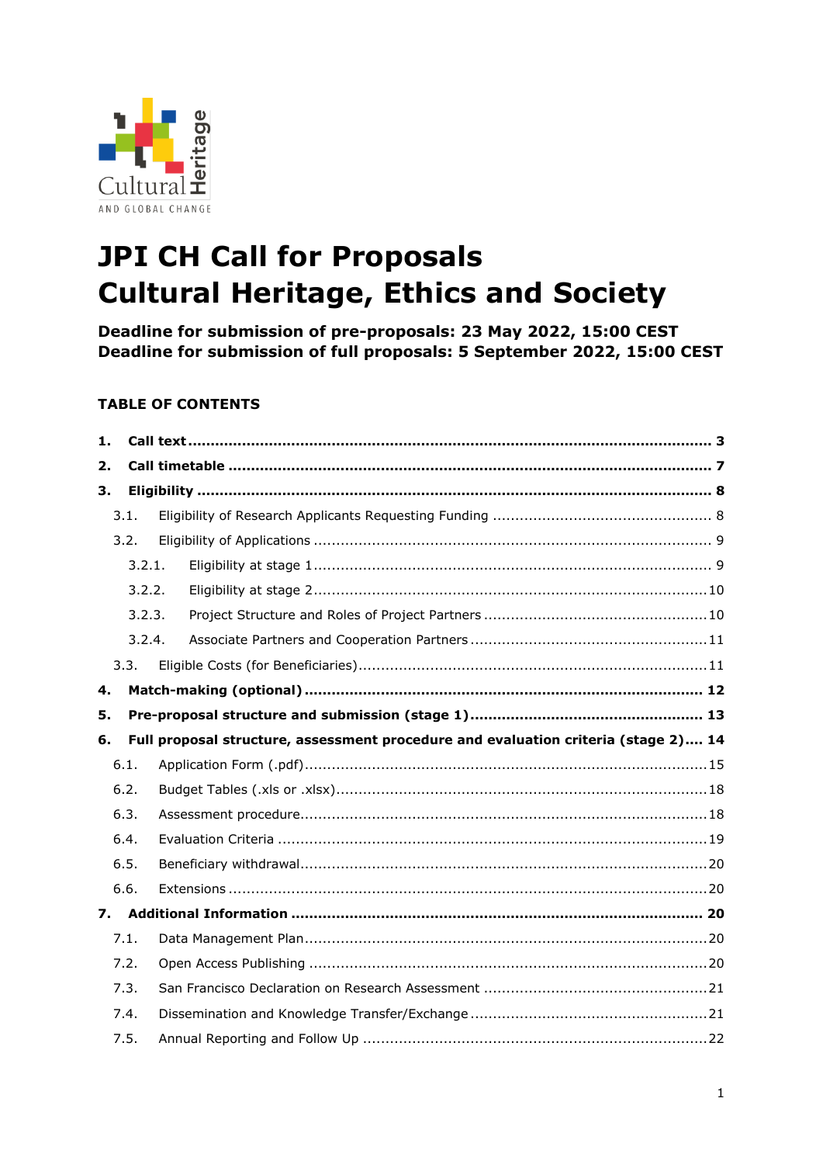

# **JPI CH Call for Proposals Cultural Heritage, Ethics and Society**

**Deadline for submission of pre-proposals: 23 May 2022, 15:00 CEST Deadline for submission of full proposals: 5 September 2022, 15:00 CEST**

# **TABLE OF CONTENTS**

| 1. |        |                                                                                    |  |
|----|--------|------------------------------------------------------------------------------------|--|
| 2. |        |                                                                                    |  |
| 3. |        |                                                                                    |  |
|    | 3.1.   |                                                                                    |  |
|    | 3.2.   |                                                                                    |  |
|    | 3.2.1. |                                                                                    |  |
|    | 3.2.2. |                                                                                    |  |
|    | 3.2.3. |                                                                                    |  |
|    | 3.2.4. |                                                                                    |  |
|    | 3.3.   |                                                                                    |  |
| 4. |        |                                                                                    |  |
| 5. |        |                                                                                    |  |
| 6. |        | Full proposal structure, assessment procedure and evaluation criteria (stage 2) 14 |  |
|    | 6.1.   |                                                                                    |  |
|    | 6.2.   |                                                                                    |  |
|    | 6.3.   |                                                                                    |  |
|    | 6.4.   |                                                                                    |  |
|    | 6.5.   |                                                                                    |  |
|    | 6.6.   |                                                                                    |  |
|    |        |                                                                                    |  |
|    | 7.1.   |                                                                                    |  |
|    | 7.2.   |                                                                                    |  |
|    | 7.3.   |                                                                                    |  |
|    | 7.4.   |                                                                                    |  |
|    | 7.5.   |                                                                                    |  |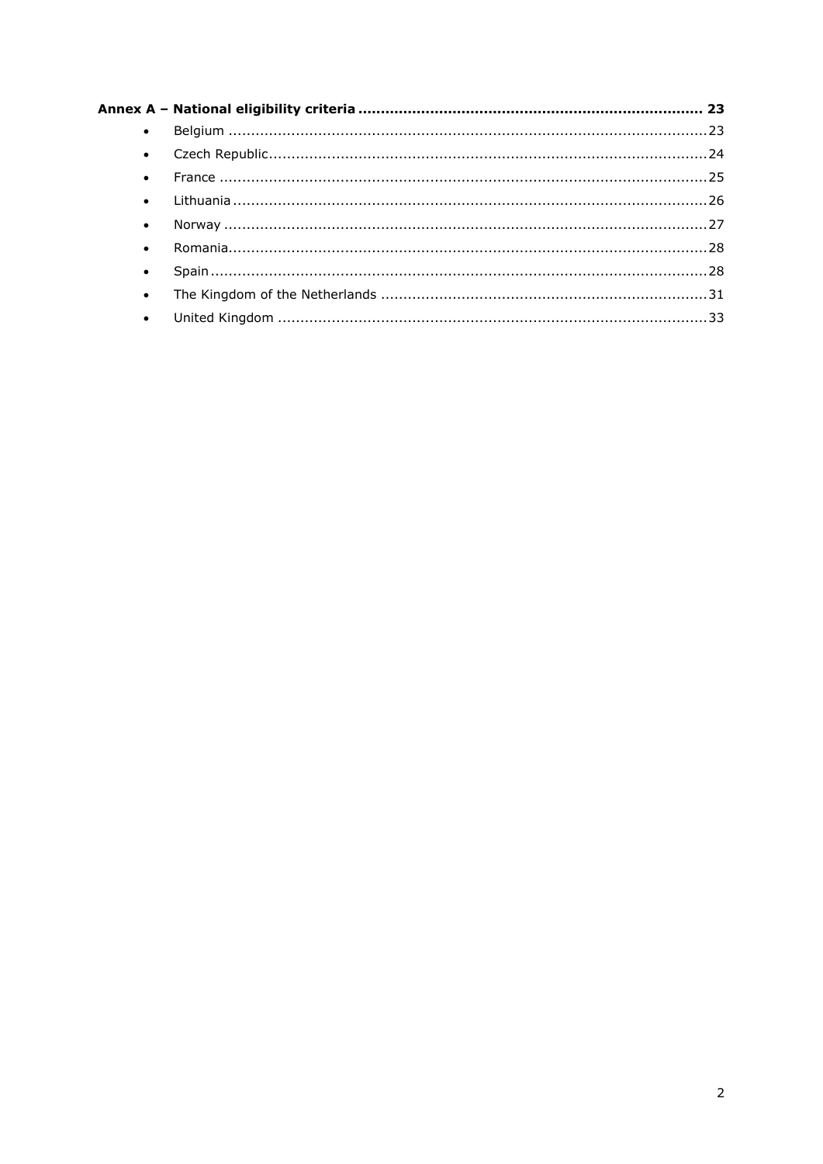| $\bullet$ |  |
|-----------|--|
| $\bullet$ |  |
| $\bullet$ |  |
| $\bullet$ |  |
| $\bullet$ |  |
| $\bullet$ |  |
| $\bullet$ |  |
| $\bullet$ |  |
| $\bullet$ |  |
|           |  |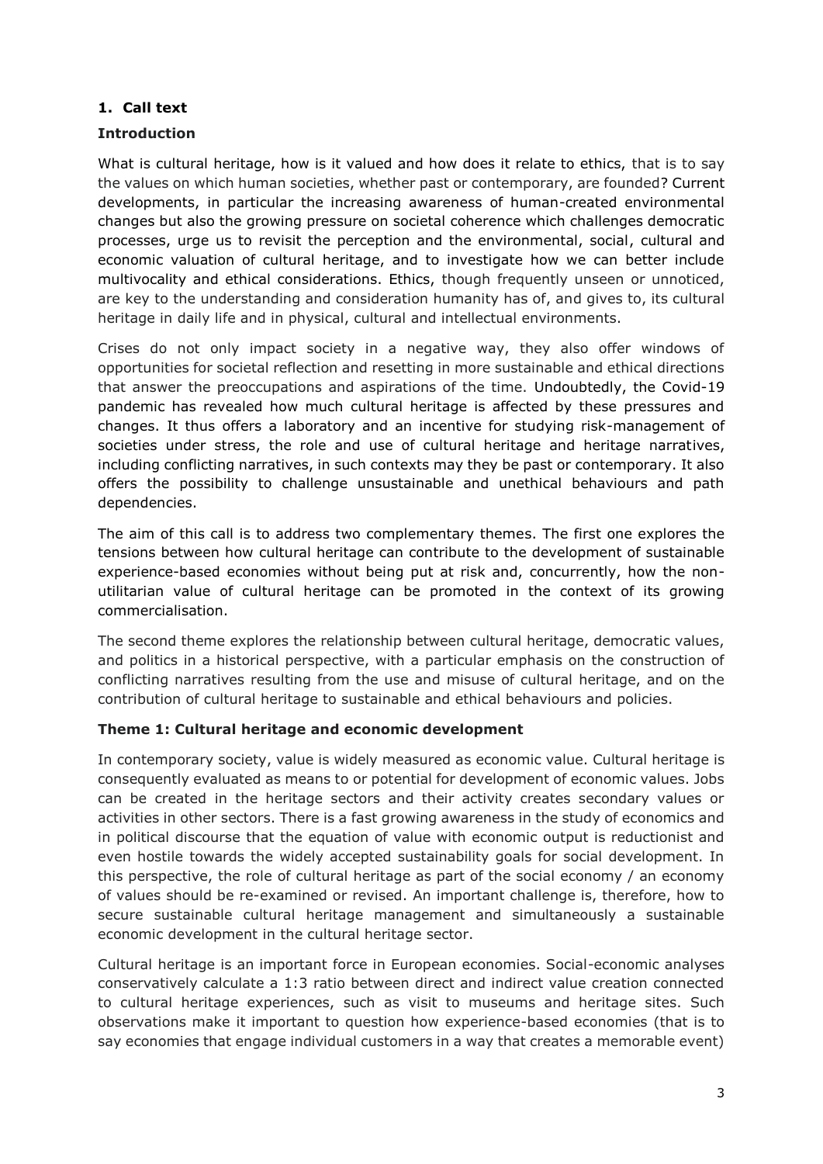# <span id="page-2-0"></span>**1. Call text**

#### **Introduction**

What is cultural heritage, how is it valued and how does it relate to ethics, that is to say the values on which human societies, whether past or contemporary, are founded? Current developments, in particular the increasing awareness of human-created environmental changes but also the growing pressure on societal coherence which challenges democratic processes, urge us to revisit the perception and the environmental, social, cultural and economic valuation of cultural heritage, and to investigate how we can better include multivocality and ethical considerations. Ethics, though frequently unseen or unnoticed, are key to the understanding and consideration humanity has of, and gives to, its cultural heritage in daily life and in physical, cultural and intellectual environments.

Crises do not only impact society in a negative way, they also offer windows of opportunities for societal reflection and resetting in more sustainable and ethical directions that answer the preoccupations and aspirations of the time. Undoubtedly, the Covid-19 pandemic has revealed how much cultural heritage is affected by these pressures and changes. It thus offers a laboratory and an incentive for studying risk-management of societies under stress, the role and use of cultural heritage and heritage narratives, including conflicting narratives, in such contexts may they be past or contemporary. It also offers the possibility to challenge unsustainable and unethical behaviours and path dependencies.

The aim of this call is to address two complementary themes. The first one explores the tensions between how cultural heritage can contribute to the development of sustainable experience-based economies without being put at risk and, concurrently, how the nonutilitarian value of cultural heritage can be promoted in the context of its growing commercialisation.

The second theme explores the relationship between cultural heritage, democratic values, and politics in a historical perspective, with a particular emphasis on the construction of conflicting narratives resulting from the use and misuse of cultural heritage, and on the contribution of cultural heritage to sustainable and ethical behaviours and policies.

#### **Theme 1: Cultural heritage and economic development**

In contemporary society, value is widely measured as economic value. Cultural heritage is consequently evaluated as means to or potential for development of economic values. Jobs can be created in the heritage sectors and their activity creates secondary values or activities in other sectors. There is a fast growing awareness in the study of economics and in political discourse that the equation of value with economic output is reductionist and even hostile towards the widely accepted sustainability goals for social development. In this perspective, the role of cultural heritage as part of the social economy / an economy of values should be re-examined or revised. An important challenge is, therefore, how to secure sustainable cultural heritage management and simultaneously a sustainable economic development in the cultural heritage sector.

Cultural heritage is an important force in European economies. Social-economic analyses conservatively calculate a 1:3 ratio between direct and indirect value creation connected to cultural heritage experiences, such as visit to museums and heritage sites. Such observations make it important to question how experience-based economies (that is to say economies that engage individual customers in a way that creates a memorable event)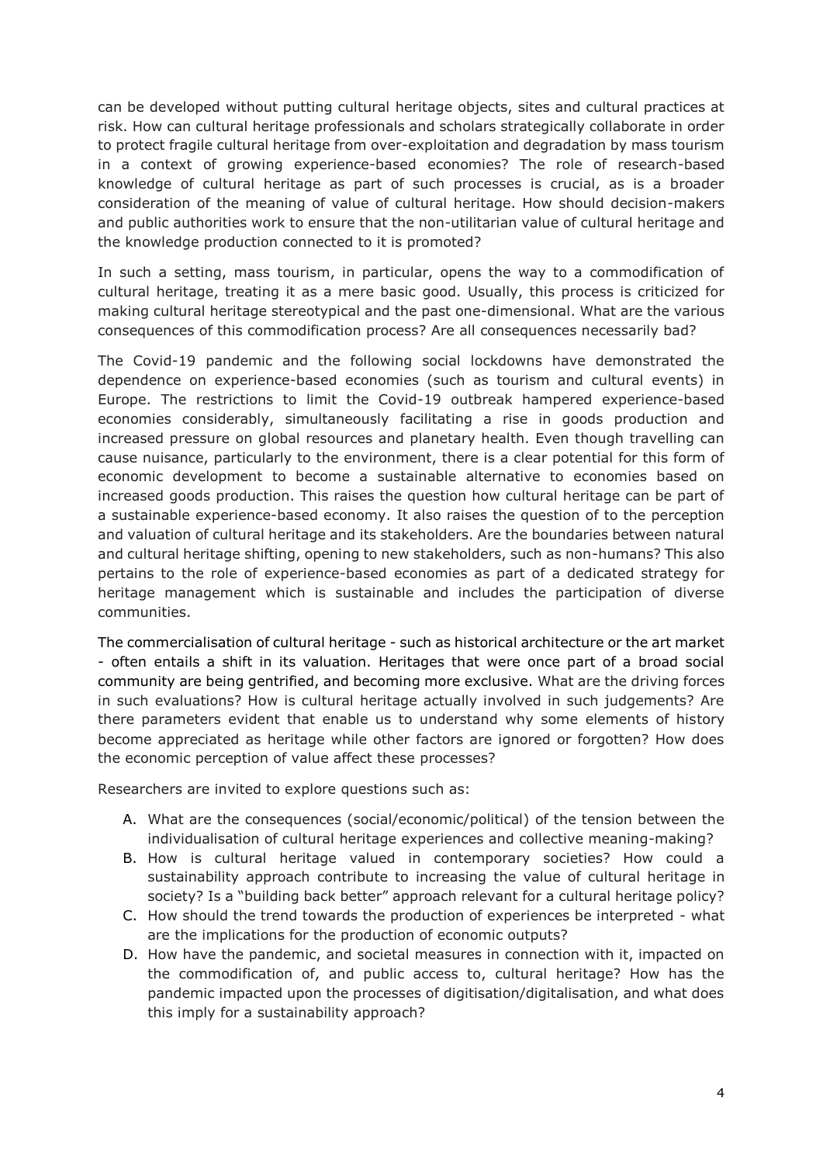can be developed without putting cultural heritage objects, sites and cultural practices at risk. How can cultural heritage professionals and scholars strategically collaborate in order to protect fragile cultural heritage from over-exploitation and degradation by mass tourism in a context of growing experience-based economies? The role of research-based knowledge of cultural heritage as part of such processes is crucial, as is a broader consideration of the meaning of value of cultural heritage. How should decision-makers and public authorities work to ensure that the non-utilitarian value of cultural heritage and the knowledge production connected to it is promoted?

In such a setting, mass tourism, in particular, opens the way to a commodification of cultural heritage, treating it as a mere basic good. Usually, this process is criticized for making cultural heritage stereotypical and the past one-dimensional. What are the various consequences of this commodification process? Are all consequences necessarily bad?

The Covid-19 pandemic and the following social lockdowns have demonstrated the dependence on experience-based economies (such as tourism and cultural events) in Europe. The restrictions to limit the Covid-19 outbreak hampered experience-based economies considerably, simultaneously facilitating a rise in goods production and increased pressure on global resources and planetary health. Even though travelling can cause nuisance, particularly to the environment, there is a clear potential for this form of economic development to become a sustainable alternative to economies based on increased goods production. This raises the question how cultural heritage can be part of a sustainable experience-based economy. It also raises the question of to the perception and valuation of cultural heritage and its stakeholders. Are the boundaries between natural and cultural heritage shifting, opening to new stakeholders, such as non-humans? This also pertains to the role of experience-based economies as part of a dedicated strategy for heritage management which is sustainable and includes the participation of diverse communities.

The commercialisation of cultural heritage - such as historical architecture or the art market - often entails a shift in its valuation. Heritages that were once part of a broad social community are being gentrified, and becoming more exclusive. What are the driving forces in such evaluations? How is cultural heritage actually involved in such judgements? Are there parameters evident that enable us to understand why some elements of history become appreciated as heritage while other factors are ignored or forgotten? How does the economic perception of value affect these processes?

Researchers are invited to explore questions such as:

- A. What are the consequences (social/economic/political) of the tension between the individualisation of cultural heritage experiences and collective meaning-making?
- B. How is cultural heritage valued in contemporary societies? How could a sustainability approach contribute to increasing the value of cultural heritage in society? Is a "building back better" approach relevant for a cultural heritage policy?
- C. How should the trend towards the production of experiences be interpreted what are the implications for the production of economic outputs?
- D. How have the pandemic, and societal measures in connection with it, impacted on the commodification of, and public access to, cultural heritage? How has the pandemic impacted upon the processes of digitisation/digitalisation, and what does this imply for a sustainability approach?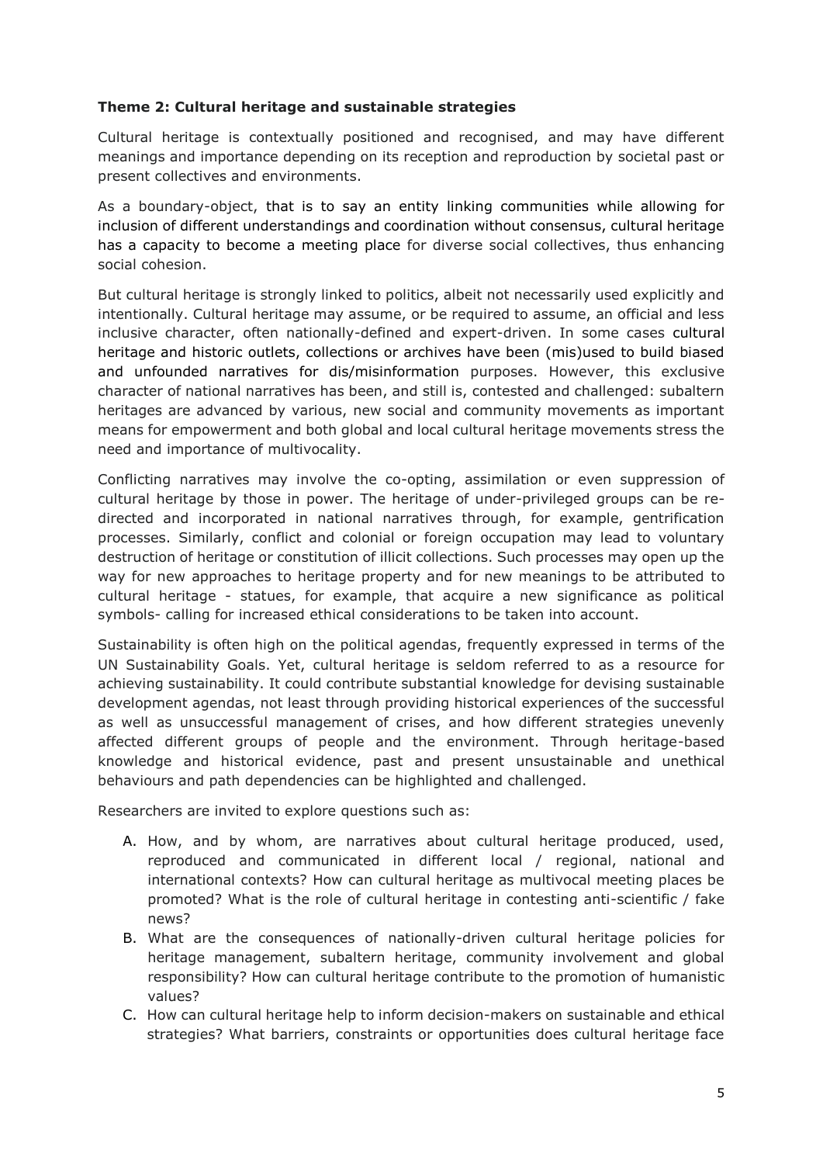#### **Theme 2: Cultural heritage and sustainable strategies**

Cultural heritage is contextually positioned and recognised, and may have different meanings and importance depending on its reception and reproduction by societal past or present collectives and environments.

As a boundary-object, that is to say an entity linking communities while allowing for inclusion of different understandings and coordination without consensus, cultural heritage has a capacity to become a meeting place for diverse social collectives, thus enhancing social cohesion.

But cultural heritage is strongly linked to politics, albeit not necessarily used explicitly and intentionally. Cultural heritage may assume, or be required to assume, an official and less inclusive character, often nationally-defined and expert-driven. In some cases cultural heritage and historic outlets, collections or archives have been (mis)used to build biased and unfounded narratives for dis/misinformation purposes. However, this exclusive character of national narratives has been, and still is, contested and challenged: subaltern heritages are advanced by various, new social and community movements as important means for empowerment and both global and local cultural heritage movements stress the need and importance of multivocality.

Conflicting narratives may involve the co-opting, assimilation or even suppression of cultural heritage by those in power. The heritage of under-privileged groups can be redirected and incorporated in national narratives through, for example, gentrification processes. Similarly, conflict and colonial or foreign occupation may lead to voluntary destruction of heritage or constitution of illicit collections. Such processes may open up the way for new approaches to heritage property and for new meanings to be attributed to cultural heritage - statues, for example, that acquire a new significance as political symbols- calling for increased ethical considerations to be taken into account.

Sustainability is often high on the political agendas, frequently expressed in terms of the UN Sustainability Goals. Yet, cultural heritage is seldom referred to as a resource for achieving sustainability. It could contribute substantial knowledge for devising sustainable development agendas, not least through providing historical experiences of the successful as well as unsuccessful management of crises, and how different strategies unevenly affected different groups of people and the environment. Through heritage-based knowledge and historical evidence, past and present unsustainable and unethical behaviours and path dependencies can be highlighted and challenged.

Researchers are invited to explore questions such as:

- A. How, and by whom, are narratives about cultural heritage produced, used, reproduced and communicated in different local / regional, national and international contexts? How can cultural heritage as multivocal meeting places be promoted? What is the role of cultural heritage in contesting anti-scientific / fake news?
- B. What are the consequences of nationally-driven cultural heritage policies for heritage management, subaltern heritage, community involvement and global responsibility? How can cultural heritage contribute to the promotion of humanistic values?
- C. How can cultural heritage help to inform decision-makers on sustainable and ethical strategies? What barriers, constraints or opportunities does cultural heritage face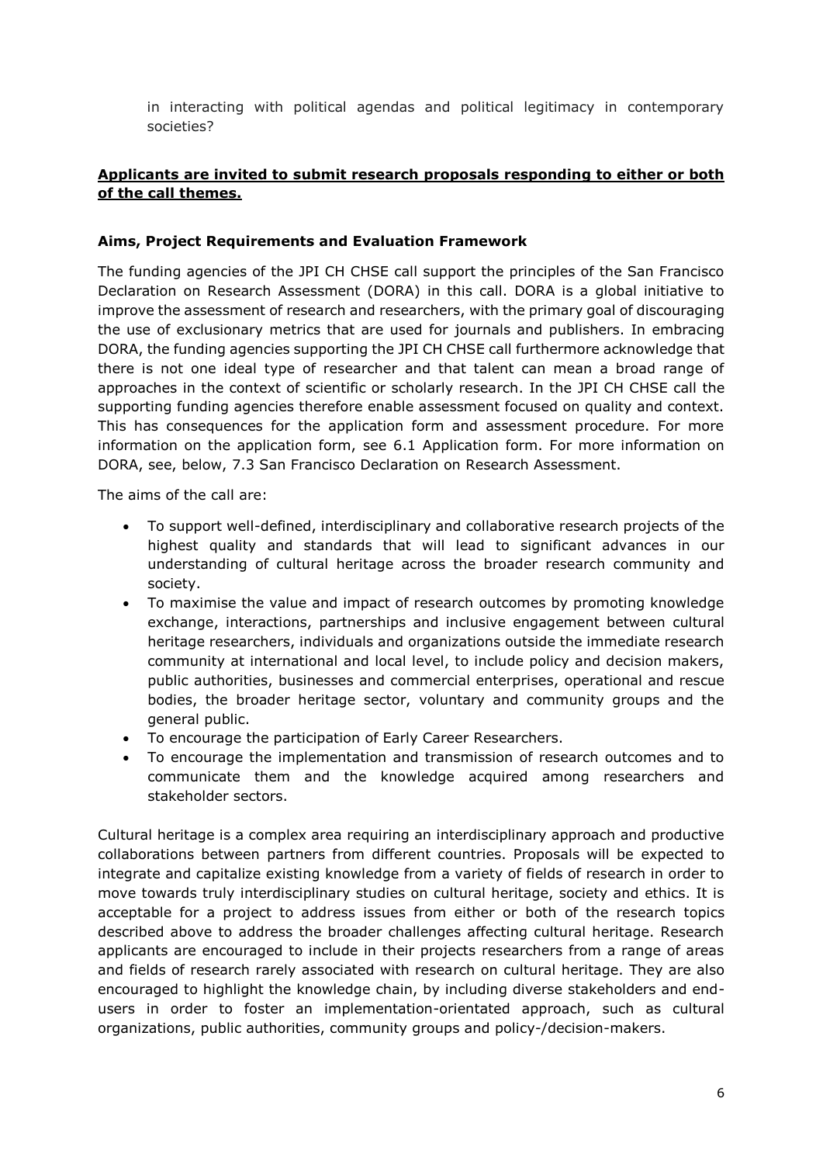in interacting with political agendas and political legitimacy in contemporary societies?

# **Applicants are invited to submit research proposals responding to either or both of the call themes.**

#### **Aims, Project Requirements and Evaluation Framework**

The funding agencies of the JPI CH CHSE call support the principles of the San Francisco Declaration on Research Assessment (DORA) in this call. DORA is a global initiative to improve the assessment of research and researchers, with the primary goal of discouraging the use of exclusionary metrics that are used for journals and publishers. In embracing DORA, the funding agencies supporting the JPI CH CHSE call furthermore acknowledge that there is not one ideal type of researcher and that talent can mean a broad range of approaches in the context of scientific or scholarly research. In the JPI CH CHSE call the supporting funding agencies therefore enable assessment focused on quality and context. This has consequences for the application form and assessment procedure. For more information on the application form, see 6.1 Application form. For more information on DORA, see, below, 7.3 San Francisco Declaration on Research Assessment.

The aims of the call are:

- To support well-defined, interdisciplinary and collaborative research projects of the highest quality and standards that will lead to significant advances in our understanding of cultural heritage across the broader research community and society.
- To maximise the value and impact of research outcomes by promoting knowledge exchange, interactions, partnerships and inclusive engagement between cultural heritage researchers, individuals and organizations outside the immediate research community at international and local level, to include policy and decision makers, public authorities, businesses and commercial enterprises, operational and rescue bodies, the broader heritage sector, voluntary and community groups and the general public.
- To encourage the participation of Early Career Researchers.
- To encourage the implementation and transmission of research outcomes and to communicate them and the knowledge acquired among researchers and stakeholder sectors.

Cultural heritage is a complex area requiring an interdisciplinary approach and productive collaborations between partners from different countries. Proposals will be expected to integrate and capitalize existing knowledge from a variety of fields of research in order to move towards truly interdisciplinary studies on cultural heritage, society and ethics. It is acceptable for a project to address issues from either or both of the research topics described above to address the broader challenges affecting cultural heritage. Research applicants are encouraged to include in their projects researchers from a range of areas and fields of research rarely associated with research on cultural heritage. They are also encouraged to highlight the knowledge chain, by including diverse stakeholders and endusers in order to foster an implementation-orientated approach, such as cultural organizations, public authorities, community groups and policy-/decision-makers.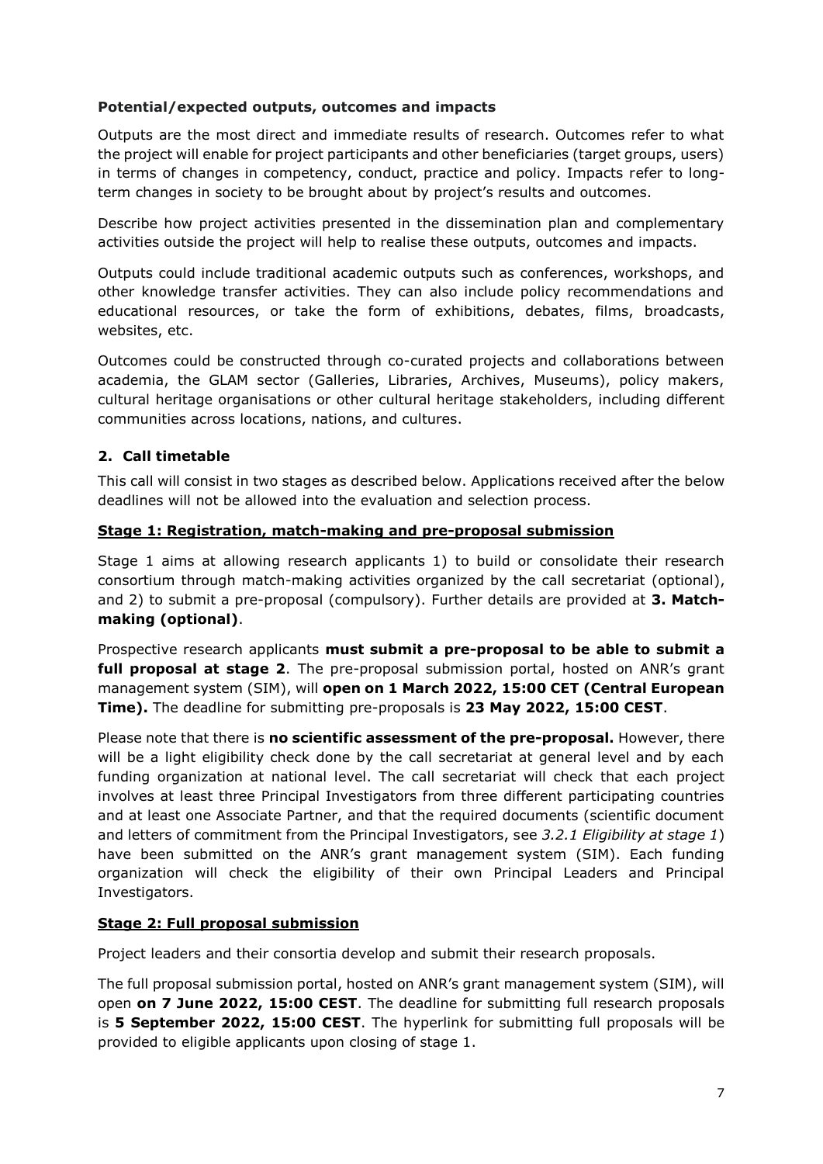#### **Potential/expected outputs, outcomes and impacts**

Outputs are the most direct and immediate results of research. Outcomes refer to what the project will enable for project participants and other beneficiaries (target groups, users) in terms of changes in competency, conduct, practice and policy. Impacts refer to longterm changes in society to be brought about by project's results and outcomes.

Describe how project activities presented in the dissemination plan and complementary activities outside the project will help to realise these outputs, outcomes and impacts.

Outputs could include traditional academic outputs such as conferences, workshops, and other knowledge transfer activities. They can also include policy recommendations and educational resources, or take the form of exhibitions, debates, films, broadcasts, websites, etc.

Outcomes could be constructed through co-curated projects and collaborations between academia, the GLAM sector (Galleries, Libraries, Archives, Museums), policy makers, cultural heritage organisations or other cultural heritage stakeholders, including different communities across locations, nations, and cultures.

# <span id="page-6-0"></span>**2. Call timetable**

This call will consist in two stages as described below. Applications received after the below deadlines will not be allowed into the evaluation and selection process.

#### **Stage 1: Registration, match-making and pre-proposal submission**

Stage 1 aims at allowing research applicants 1) to build or consolidate their research consortium through match-making activities organized by the call secretariat (optional), and 2) to submit a pre-proposal (compulsory). Further details are provided at **3. Matchmaking (optional)**.

Prospective research applicants **must submit a pre-proposal to be able to submit a full proposal at stage 2**. The pre-proposal submission portal, hosted on ANR's grant management system (SIM), will **open on 1 March 2022, 15:00 CET (Central European Time).** The deadline for submitting pre-proposals is **23 May 2022, 15:00 CEST**.

Please note that there is **no scientific assessment of the pre-proposal.** However, there will be a light eligibility check done by the call secretariat at general level and by each funding organization at national level. The call secretariat will check that each project involves at least three Principal Investigators from three different participating countries and at least one Associate Partner, and that the required documents (scientific document and letters of commitment from the Principal Investigators, see *3.2.1 Eligibility at stage 1*) have been submitted on the ANR's grant management system (SIM). Each funding organization will check the eligibility of their own Principal Leaders and Principal Investigators.

#### **Stage 2: Full proposal submission**

Project leaders and their consortia develop and submit their research proposals.

The full proposal submission portal, hosted on ANR's grant management system (SIM), will open **on 7 June 2022, 15:00 CEST**. The deadline for submitting full research proposals is **5 September 2022, 15:00 CEST**. The hyperlink for submitting full proposals will be provided to eligible applicants upon closing of stage 1.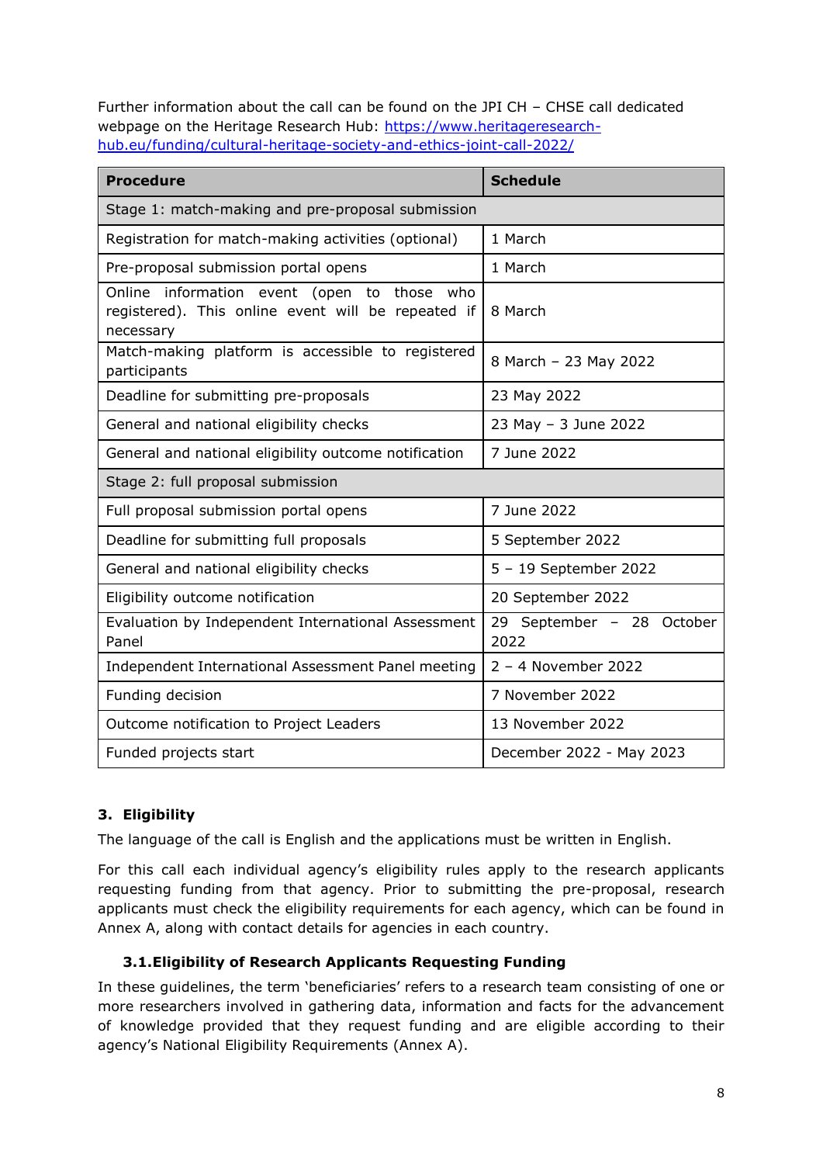Further information about the call can be found on the JPI CH – CHSE call dedicated webpage on the Heritage Research Hub: [https://www.heritageresearch](https://www.heritageresearch-hub.eu/funding/cultural-heritage-society-and-ethics-joint-call-2022/)[hub.eu/funding/cultural-heritage-society-and-ethics-joint-call-2022/](https://www.heritageresearch-hub.eu/funding/cultural-heritage-society-and-ethics-joint-call-2022/)

| <b>Procedure</b>                                                                                               | <b>Schedule</b>                   |  |
|----------------------------------------------------------------------------------------------------------------|-----------------------------------|--|
| Stage 1: match-making and pre-proposal submission                                                              |                                   |  |
| Registration for match-making activities (optional)                                                            | 1 March                           |  |
| Pre-proposal submission portal opens                                                                           | 1 March                           |  |
| Online information event (open to those who<br>registered). This online event will be repeated if<br>necessary | 8 March                           |  |
| Match-making platform is accessible to registered<br>participants                                              | 8 March - 23 May 2022             |  |
| Deadline for submitting pre-proposals                                                                          | 23 May 2022                       |  |
| General and national eligibility checks                                                                        | 23 May - 3 June 2022              |  |
| General and national eligibility outcome notification                                                          | 7 June 2022                       |  |
| Stage 2: full proposal submission                                                                              |                                   |  |
| Full proposal submission portal opens                                                                          | 7 June 2022                       |  |
| Deadline for submitting full proposals                                                                         | 5 September 2022                  |  |
| General and national eligibility checks                                                                        | 5 - 19 September 2022             |  |
| Eligibility outcome notification                                                                               | 20 September 2022                 |  |
| Evaluation by Independent International Assessment<br>Panel                                                    | 29 September - 28 October<br>2022 |  |
| Independent International Assessment Panel meeting                                                             | 2 - 4 November 2022               |  |
| Funding decision                                                                                               | 7 November 2022                   |  |
| Outcome notification to Project Leaders                                                                        | 13 November 2022                  |  |
| Funded projects start                                                                                          | December 2022 - May 2023          |  |

# <span id="page-7-0"></span>**3. Eligibility**

The language of the call is English and the applications must be written in English.

For this call each individual agency's eligibility rules apply to the research applicants requesting funding from that agency. Prior to submitting the pre-proposal, research applicants must check the eligibility requirements for each agency, which can be found in Annex A, along with contact details for agencies in each country.

# <span id="page-7-1"></span>**3.1.Eligibility of Research Applicants Requesting Funding**

In these guidelines, the term 'beneficiaries' refers to a research team consisting of one or more researchers involved in gathering data, information and facts for the advancement of knowledge provided that they request funding and are eligible according to their agency's National Eligibility Requirements (Annex A).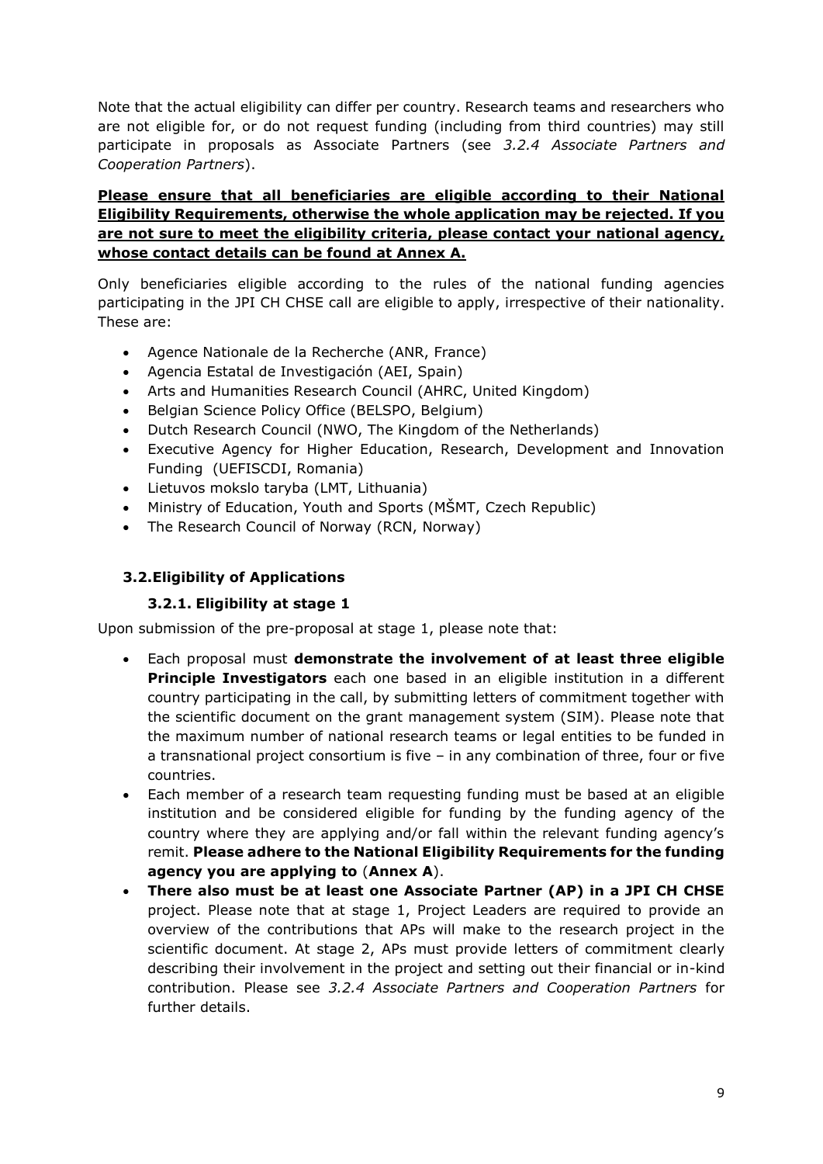Note that the actual eligibility can differ per country. Research teams and researchers who are not eligible for, or do not request funding (including from third countries) may still participate in proposals as Associate Partners (see *3.2.4 Associate Partners and Cooperation Partners*).

# **Please ensure that all beneficiaries are eligible according to their National Eligibility Requirements, otherwise the whole application may be rejected. If you are not sure to meet the eligibility criteria, please contact your national agency, whose contact details can be found at Annex A.**

Only beneficiaries eligible according to the rules of the national funding agencies participating in the JPI CH CHSE call are eligible to apply, irrespective of their nationality. These are:

- Agence Nationale de la Recherche (ANR, France)
- Agencia Estatal de Investigación (AEI, Spain)
- Arts and Humanities Research Council (AHRC, United Kingdom)
- Belgian Science Policy Office (BELSPO, Belgium)
- Dutch Research Council (NWO, The Kingdom of the Netherlands)
- Executive Agency for Higher Education, Research, Development and Innovation Funding (UEFISCDI, Romania)
- Lietuvos mokslo taryba (LMT, Lithuania)
- Ministry of Education, Youth and Sports (MŠMT, Czech Republic)
- The Research Council of Norway (RCN, Norway)

#### <span id="page-8-0"></span>**3.2.Eligibility of Applications**

#### **3.2.1. Eligibility at stage 1**

<span id="page-8-1"></span>Upon submission of the pre-proposal at stage 1, please note that:

- Each proposal must **demonstrate the involvement of at least three eligible Principle Investigators** each one based in an eligible institution in a different country participating in the call, by submitting letters of commitment together with the scientific document on the grant management system (SIM). Please note that the maximum number of national research teams or legal entities to be funded in a transnational project consortium is five – in any combination of three, four or five countries.
- Each member of a research team requesting funding must be based at an eligible institution and be considered eligible for funding by the funding agency of the country where they are applying and/or fall within the relevant funding agency's remit. **Please adhere to the National Eligibility Requirements for the funding agency you are applying to** (**Annex A**).
- **There also must be at least one Associate Partner (AP) in a JPI CH CHSE**  project. Please note that at stage 1, Project Leaders are required to provide an overview of the contributions that APs will make to the research project in the scientific document. At stage 2, APs must provide letters of commitment clearly describing their involvement in the project and setting out their financial or in-kind contribution. Please see *3.2.4 Associate Partners and Cooperation Partners* for further details.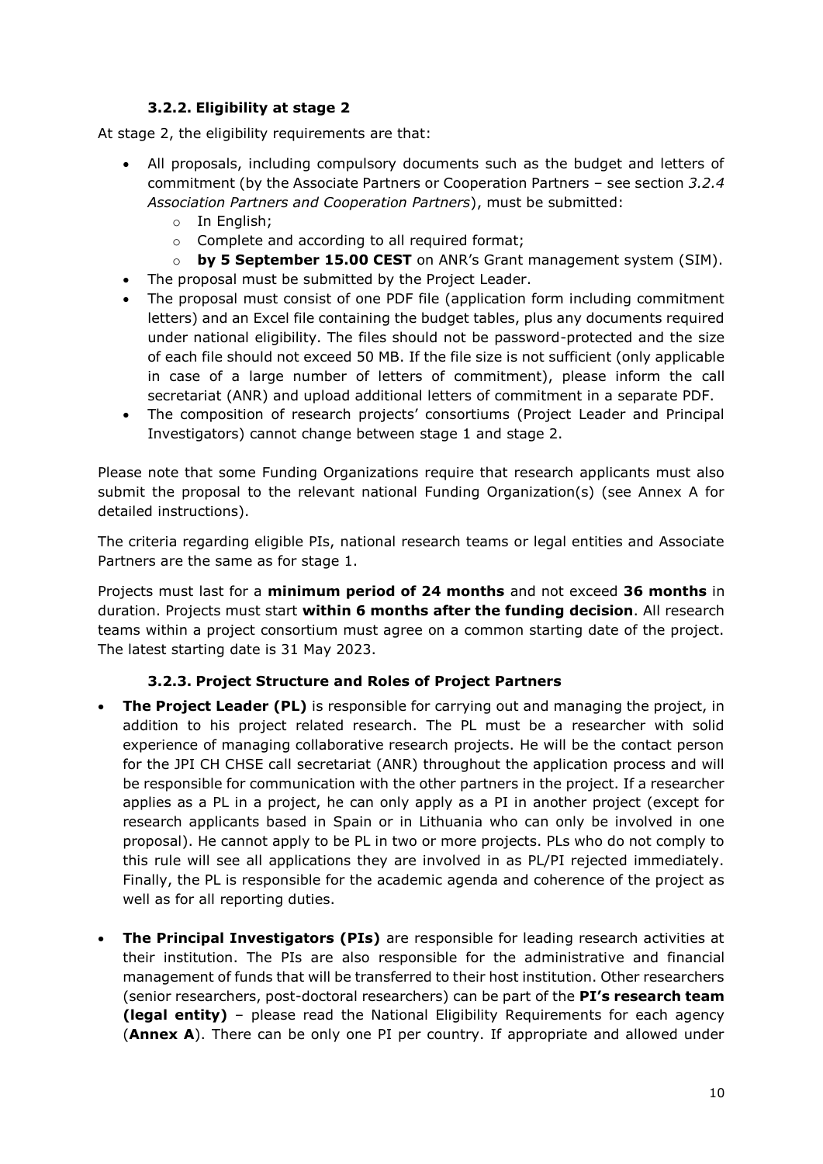# **3.2.2. Eligibility at stage 2**

<span id="page-9-0"></span>At stage 2, the eligibility requirements are that:

- All proposals, including compulsory documents such as the budget and letters of commitment (by the Associate Partners or Cooperation Partners – see section *3.2.4 Association Partners and Cooperation Partners*), must be submitted:
	- o In English;
	- o Complete and according to all required format;
	- o **by 5 September 15.00 CEST** on ANR's Grant management system (SIM).
- The proposal must be submitted by the Project Leader.
- The proposal must consist of one PDF file (application form including commitment letters) and an Excel file containing the budget tables, plus any documents required under national eligibility. The files should not be password-protected and the size of each file should not exceed 50 MB. If the file size is not sufficient (only applicable in case of a large number of letters of commitment), please inform the call secretariat (ANR) and upload additional letters of commitment in a separate PDF.
- The composition of research projects' consortiums (Project Leader and Principal Investigators) cannot change between stage 1 and stage 2.

Please note that some Funding Organizations require that research applicants must also submit the proposal to the relevant national Funding Organization(s) (see Annex A for detailed instructions).

The criteria regarding eligible PIs, national research teams or legal entities and Associate Partners are the same as for stage 1.

Projects must last for a **minimum period of 24 months** and not exceed **36 months** in duration. Projects must start **within 6 months after the funding decision**. All research teams within a project consortium must agree on a common starting date of the project. The latest starting date is 31 May 2023.

#### **3.2.3. Project Structure and Roles of Project Partners**

- <span id="page-9-1"></span> **The Project Leader (PL)** is responsible for carrying out and managing the project, in addition to his project related research. The PL must be a researcher with solid experience of managing collaborative research projects. He will be the contact person for the JPI CH CHSE call secretariat (ANR) throughout the application process and will be responsible for communication with the other partners in the project. If a researcher applies as a PL in a project, he can only apply as a PI in another project (except for research applicants based in Spain or in Lithuania who can only be involved in one proposal). He cannot apply to be PL in two or more projects. PLs who do not comply to this rule will see all applications they are involved in as PL/PI rejected immediately. Finally, the PL is responsible for the academic agenda and coherence of the project as well as for all reporting duties.
- **The Principal Investigators (PIs)** are responsible for leading research activities at their institution. The PIs are also responsible for the administrative and financial management of funds that will be transferred to their host institution. Other researchers (senior researchers, post-doctoral researchers) can be part of the **PI's research team (legal entity)** – please read the National Eligibility Requirements for each agency (**Annex A**). There can be only one PI per country. If appropriate and allowed under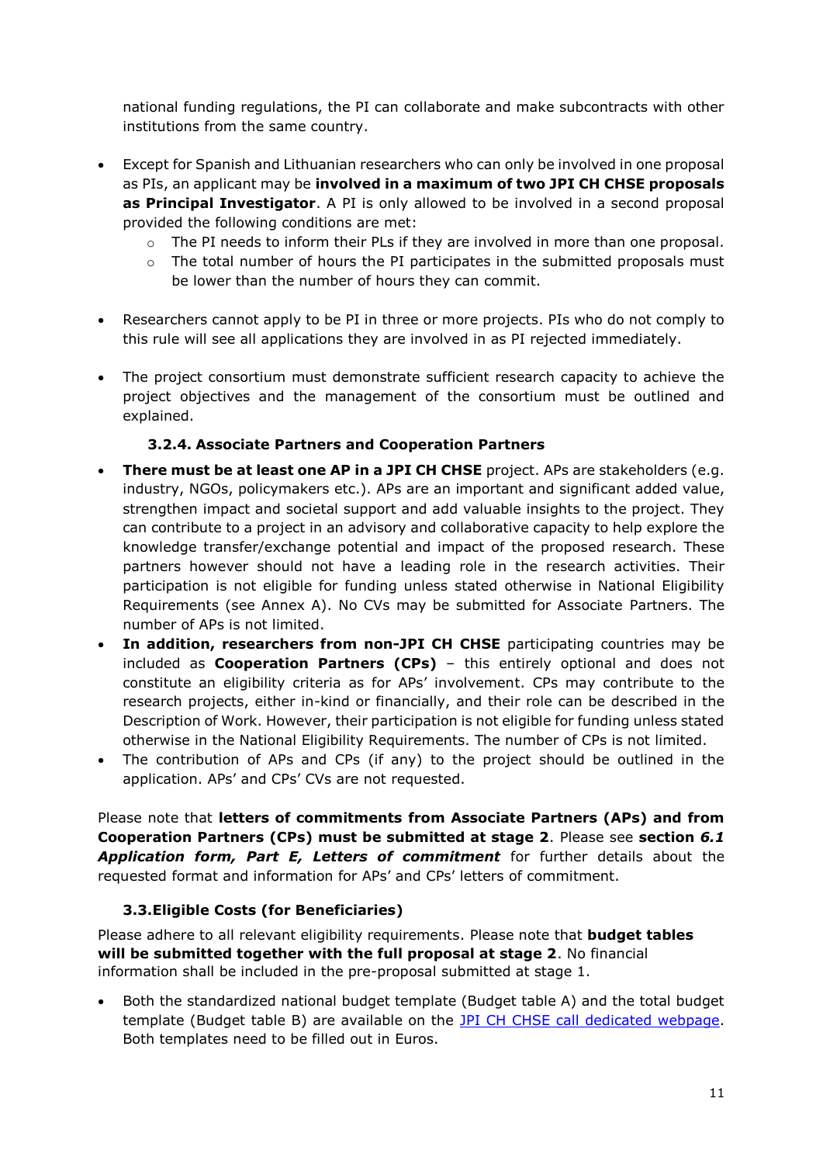national funding regulations, the PI can collaborate and make subcontracts with other institutions from the same country.

- Except for Spanish and Lithuanian researchers who can only be involved in one proposal as PIs, an applicant may be **involved in a maximum of two JPI CH CHSE proposals as Principal Investigator**. A PI is only allowed to be involved in a second proposal provided the following conditions are met:
	- $\circ$  The PI needs to inform their PLs if they are involved in more than one proposal.
	- o The total number of hours the PI participates in the submitted proposals must be lower than the number of hours they can commit.
- Researchers cannot apply to be PI in three or more projects. PIs who do not comply to this rule will see all applications they are involved in as PI rejected immediately.
- The project consortium must demonstrate sufficient research capacity to achieve the project objectives and the management of the consortium must be outlined and explained.

# **3.2.4. Associate Partners and Cooperation Partners**

- <span id="page-10-0"></span> **There must be at least one AP in a JPI CH CHSE** project. APs are stakeholders (e.g. industry, NGOs, policymakers etc.). APs are an important and significant added value, strengthen impact and societal support and add valuable insights to the project. They can contribute to a project in an advisory and collaborative capacity to help explore the knowledge transfer/exchange potential and impact of the proposed research. These partners however should not have a leading role in the research activities. Their participation is not eligible for funding unless stated otherwise in National Eligibility Requirements (see Annex A). No CVs may be submitted for Associate Partners. The number of APs is not limited.
- **In addition, researchers from non-JPI CH CHSE** participating countries may be included as **Cooperation Partners (CPs)** – this entirely optional and does not constitute an eligibility criteria as for APs' involvement. CPs may contribute to the research projects, either in-kind or financially, and their role can be described in the Description of Work. However, their participation is not eligible for funding unless stated otherwise in the National Eligibility Requirements. The number of CPs is not limited.
- The contribution of APs and CPs (if any) to the project should be outlined in the application. APs' and CPs' CVs are not requested.

Please note that **letters of commitments from Associate Partners (APs) and from Cooperation Partners (CPs) must be submitted at stage 2**. Please see **section** *6.1 Application form, Part E, Letters of commitment* for further details about the requested format and information for APs' and CPs' letters of commitment.

#### **3.3.Eligible Costs (for Beneficiaries)**

<span id="page-10-1"></span>Please adhere to all relevant eligibility requirements. Please note that **budget tables will be submitted together with the full proposal at stage 2**. No financial information shall be included in the pre-proposal submitted at stage 1.

 Both the standardized national budget template (Budget table A) and the total budget template (Budget table B) are available on the [JPI CH CHSE call dedicated webpage.](https://www.heritageresearch-hub.eu/funding/cultural-heritage-society-and-ethics-joint-call-2022/) Both templates need to be filled out in Euros.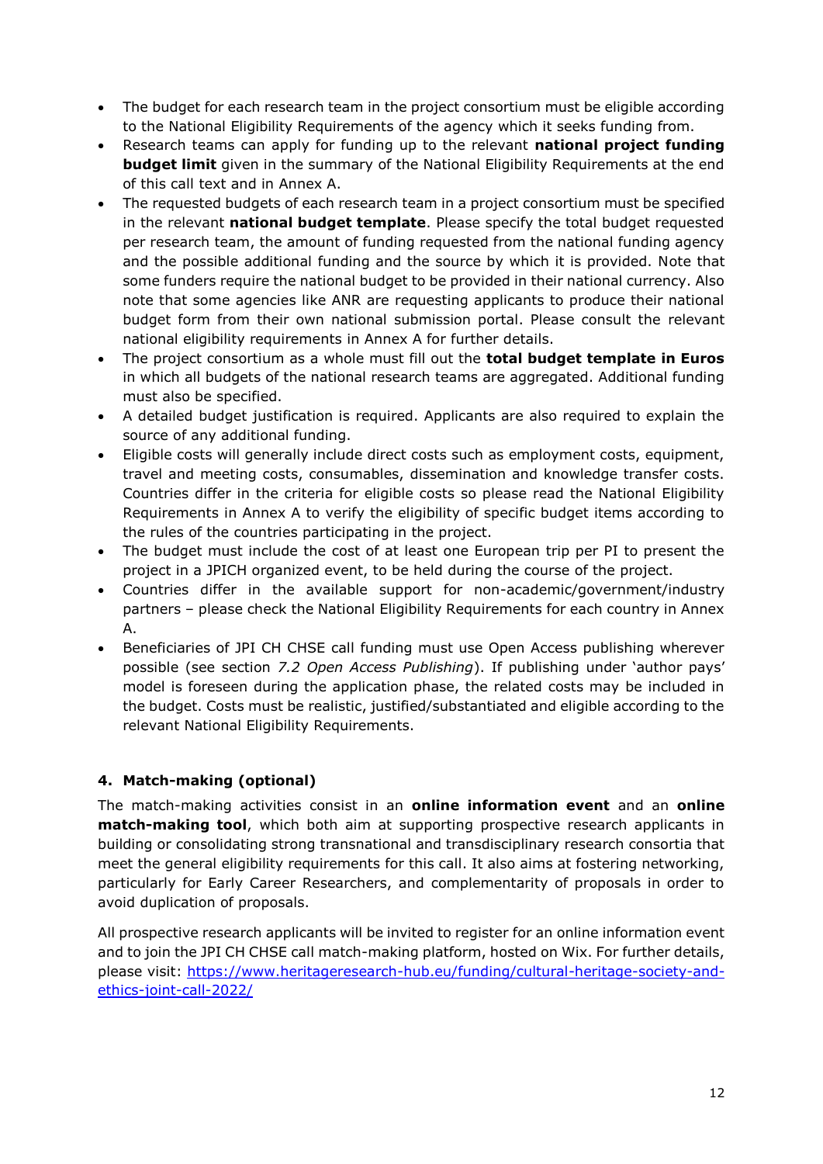- The budget for each research team in the project consortium must be eligible according to the National Eligibility Requirements of the agency which it seeks funding from.
- Research teams can apply for funding up to the relevant **national project funding budget limit** given in the summary of the National Eligibility Requirements at the end of this call text and in Annex A.
- The requested budgets of each research team in a project consortium must be specified in the relevant **national budget template**. Please specify the total budget requested per research team, the amount of funding requested from the national funding agency and the possible additional funding and the source by which it is provided. Note that some funders require the national budget to be provided in their national currency. Also note that some agencies like ANR are requesting applicants to produce their national budget form from their own national submission portal. Please consult the relevant national eligibility requirements in Annex A for further details.
- The project consortium as a whole must fill out the **total budget template in Euros** in which all budgets of the national research teams are aggregated. Additional funding must also be specified.
- A detailed budget justification is required. Applicants are also required to explain the source of any additional funding.
- Eligible costs will generally include direct costs such as employment costs, equipment, travel and meeting costs, consumables, dissemination and knowledge transfer costs. Countries differ in the criteria for eligible costs so please read the National Eligibility Requirements in Annex A to verify the eligibility of specific budget items according to the rules of the countries participating in the project.
- The budget must include the cost of at least one European trip per PI to present the project in a JPICH organized event, to be held during the course of the project.
- Countries differ in the available support for non-academic/government/industry partners – please check the National Eligibility Requirements for each country in Annex A.
- Beneficiaries of JPI CH CHSE call funding must use Open Access publishing wherever possible (see section *7.2 Open Access Publishing*). If publishing under 'author pays' model is foreseen during the application phase, the related costs may be included in the budget. Costs must be realistic, justified/substantiated and eligible according to the relevant National Eligibility Requirements.

# <span id="page-11-0"></span>**4. Match-making (optional)**

The match-making activities consist in an **online information event** and an **online match-making tool**, which both aim at supporting prospective research applicants in building or consolidating strong transnational and transdisciplinary research consortia that meet the general eligibility requirements for this call. It also aims at fostering networking, particularly for Early Career Researchers, and complementarity of proposals in order to avoid duplication of proposals.

All prospective research applicants will be invited to register for an online information event and to join the JPI CH CHSE call match-making platform, hosted on Wix. For further details, please visit: [https://www.heritageresearch-hub.eu/funding/cultural-heritage-society-and](https://www.heritageresearch-hub.eu/funding/cultural-heritage-society-and-ethics-joint-call-2022/)[ethics-joint-call-2022/](https://www.heritageresearch-hub.eu/funding/cultural-heritage-society-and-ethics-joint-call-2022/)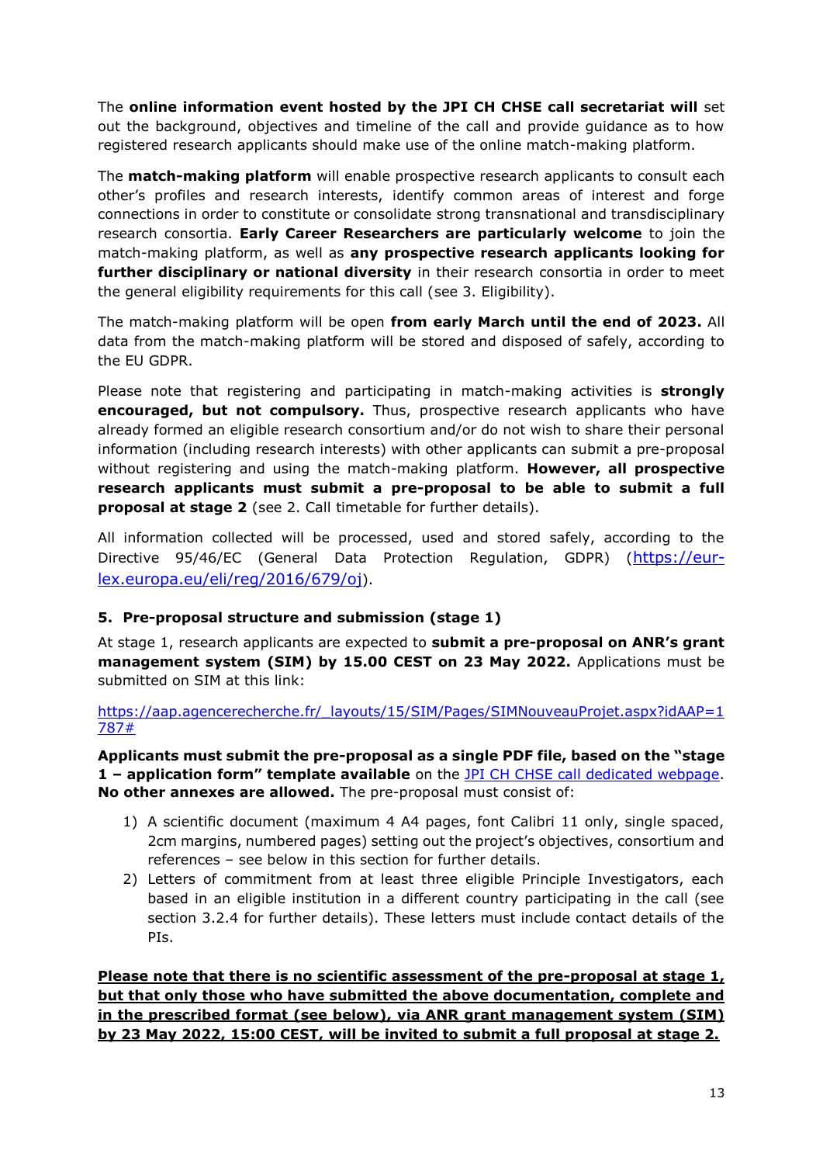The **online information event hosted by the JPI CH CHSE call secretariat will** set out the background, objectives and timeline of the call and provide guidance as to how registered research applicants should make use of the online match-making platform.

The **match-making platform** will enable prospective research applicants to consult each other's profiles and research interests, identify common areas of interest and forge connections in order to constitute or consolidate strong transnational and transdisciplinary research consortia. **Early Career Researchers are particularly welcome** to join the match-making platform, as well as **any prospective research applicants looking for further disciplinary or national diversity** in their research consortia in order to meet the general eligibility requirements for this call (see 3. Eligibility).

The match-making platform will be open **from early March until the end of 2023.** All data from the match-making platform will be stored and disposed of safely, according to the EU GDPR.

Please note that registering and participating in match-making activities is **strongly encouraged, but not compulsory.** Thus, prospective research applicants who have already formed an eligible research consortium and/or do not wish to share their personal information (including research interests) with other applicants can submit a pre-proposal without registering and using the match-making platform. **However, all prospective research applicants must submit a pre-proposal to be able to submit a full proposal at stage 2** (see 2. Call timetable for further details).

All information collected will be processed, used and stored safely, according to the Directive 95/46/EC (General Data Protection Regulation, GDPR) ([https://eur](https://eur-lex.europa.eu/eli/reg/2016/679/oj)[lex.europa.eu/eli/reg/2016/679/oj](https://eur-lex.europa.eu/eli/reg/2016/679/oj)).

# <span id="page-12-0"></span>**5. Pre-proposal structure and submission (stage 1)**

At stage 1, research applicants are expected to **submit a pre-proposal on ANR's grant management system (SIM) by 15.00 CEST on 23 May 2022.** Applications must be submitted on SIM at this link:

https://aap.agencerecherche.fr/ layouts/15/SIM/Pages/SIMNouveauProjet.aspx?idAAP=1 [787#](https://aap.agencerecherche.fr/_layouts/15/SIM/Pages/SIMNouveauProjet.aspx?idAAP=1787)

**Applicants must submit the pre-proposal as a single PDF file, based on the "stage 1 – application form" template available** on the [JPI CH CHSE call dedicated webpage.](https://www.heritageresearch-hub.eu/funding/cultural-heritage-society-and-ethics-joint-call-2022/) **No other annexes are allowed.** The pre-proposal must consist of:

- 1) A scientific document (maximum 4 A4 pages, font Calibri 11 only, single spaced, 2cm margins, numbered pages) setting out the project's objectives, consortium and references – see below in this section for further details.
- 2) Letters of commitment from at least three eligible Principle Investigators, each based in an eligible institution in a different country participating in the call (see section 3.2.4 for further details). These letters must include contact details of the PIs.

**Please note that there is no scientific assessment of the pre-proposal at stage 1, but that only those who have submitted the above documentation, complete and in the prescribed format (see below), via ANR grant management system (SIM) by 23 May 2022, 15:00 CEST, will be invited to submit a full proposal at stage 2.**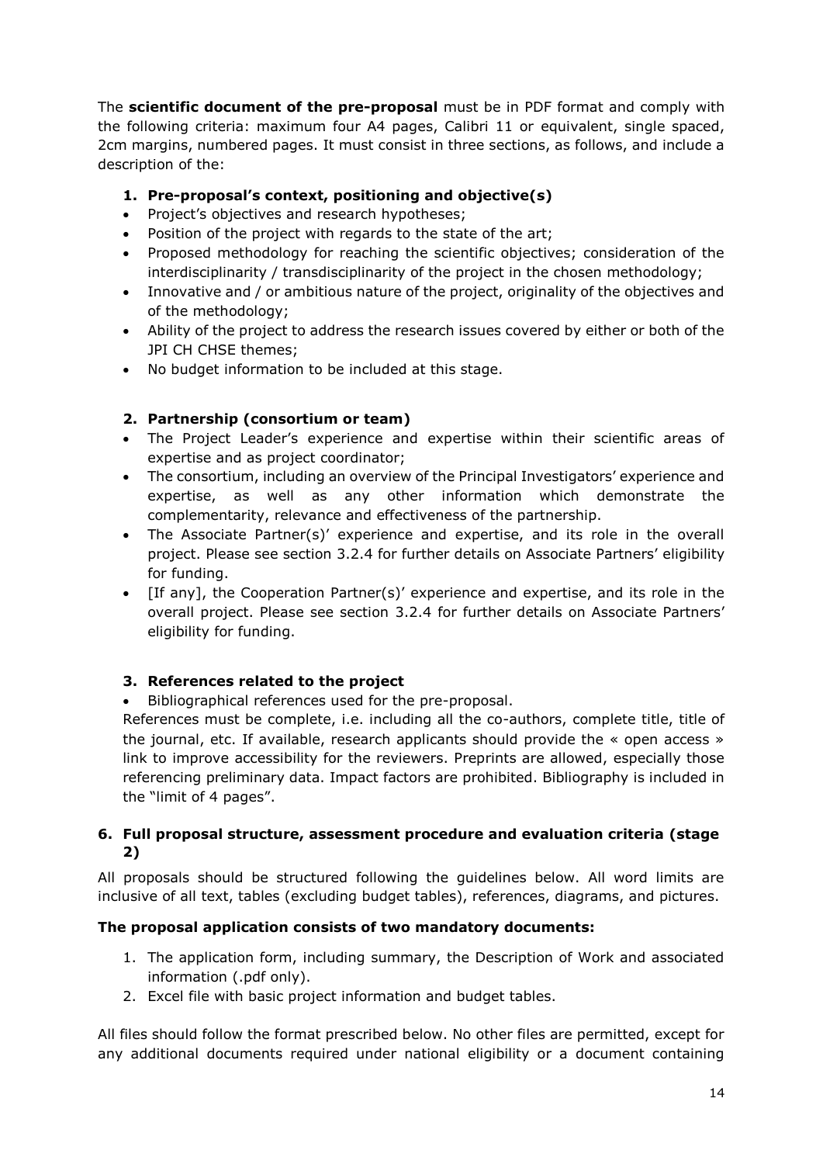The **scientific document of the pre-proposal** must be in PDF format and comply with the following criteria: maximum four A4 pages, Calibri 11 or equivalent, single spaced, 2cm margins, numbered pages. It must consist in three sections, as follows, and include a description of the:

# **1. Pre-proposal's context, positioning and objective(s)**

- Project's objectives and research hypotheses;
- Position of the project with regards to the state of the art;
- Proposed methodology for reaching the scientific objectives; consideration of the interdisciplinarity / transdisciplinarity of the project in the chosen methodology;
- Innovative and / or ambitious nature of the project, originality of the objectives and of the methodology;
- Ability of the project to address the research issues covered by either or both of the JPI CH CHSE themes;
- No budget information to be included at this stage.

# **2. Partnership (consortium or team)**

- The Project Leader's experience and expertise within their scientific areas of expertise and as project coordinator;
- The consortium, including an overview of the Principal Investigators' experience and expertise, as well as any other information which demonstrate the complementarity, relevance and effectiveness of the partnership.
- The Associate Partner(s)' experience and expertise, and its role in the overall project. Please see section 3.2.4 for further details on Associate Partners' eligibility for funding.
- [If any], the Cooperation Partner(s)' experience and expertise, and its role in the overall project. Please see section 3.2.4 for further details on Associate Partners' eligibility for funding.

# **3. References related to the project**

Bibliographical references used for the pre-proposal.

References must be complete, i.e. including all the co-authors, complete title, title of the journal, etc. If available, research applicants should provide the « open access » link to improve accessibility for the reviewers. Preprints are allowed, especially those referencing preliminary data. Impact factors are prohibited. Bibliography is included in the "limit of 4 pages".

#### <span id="page-13-0"></span>**6. Full proposal structure, assessment procedure and evaluation criteria (stage 2)**

All proposals should be structured following the guidelines below. All word limits are inclusive of all text, tables (excluding budget tables), references, diagrams, and pictures.

# **The proposal application consists of two mandatory documents:**

- 1. The application form, including summary, the Description of Work and associated information (.pdf only).
- 2. Excel file with basic project information and budget tables.

All files should follow the format prescribed below. No other files are permitted, except for any additional documents required under national eligibility or a document containing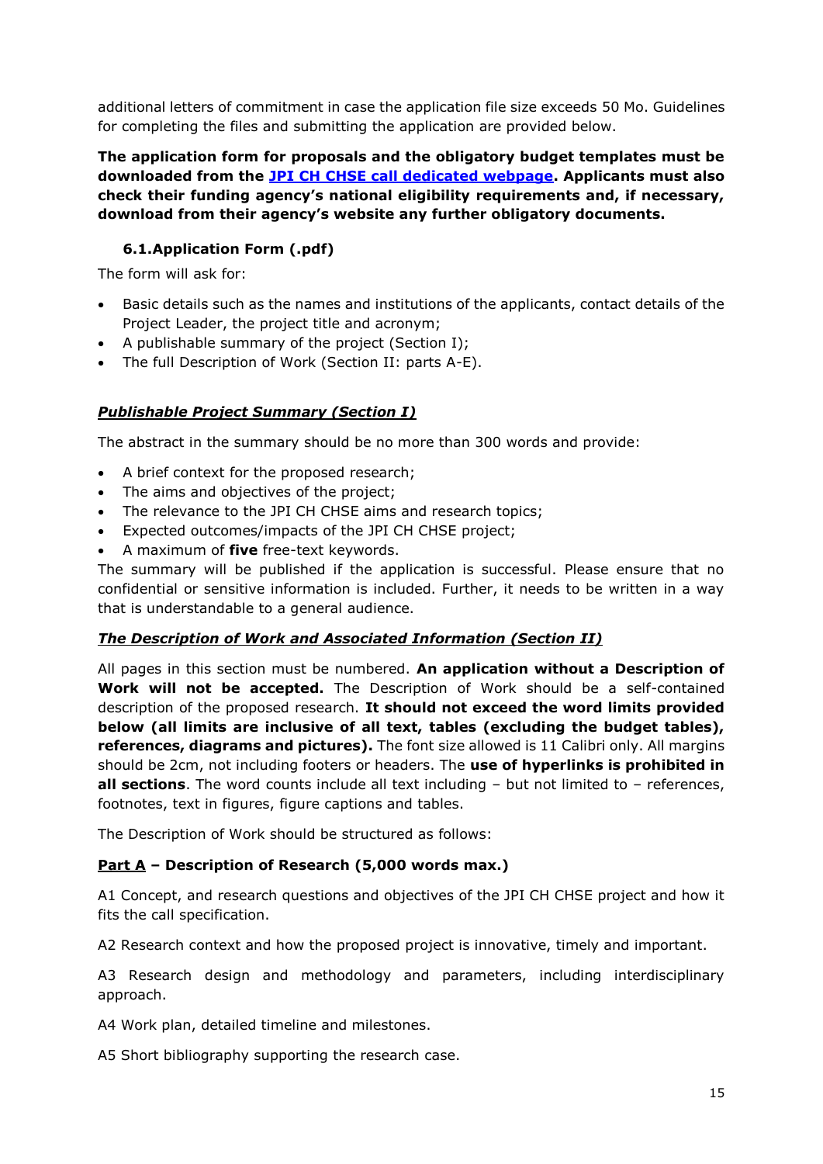additional letters of commitment in case the application file size exceeds 50 Mo. Guidelines for completing the files and submitting the application are provided below.

**The application form for proposals and the obligatory budget templates must be downloaded from the [JPI CH CHSE call dedicated webpage.](https://www.heritageresearch-hub.eu/funding/cultural-heritage-society-and-ethics-joint-call-2022/) Applicants must also check their funding agency's national eligibility requirements and, if necessary, download from their agency's website any further obligatory documents.** 

# **6.1.Application Form (.pdf)**

<span id="page-14-0"></span>The form will ask for:

- Basic details such as the names and institutions of the applicants, contact details of the Project Leader, the project title and acronym;
- A publishable summary of the project (Section I);
- The full Description of Work (Section II: parts A-E).

# *Publishable Project Summary (Section I)*

The abstract in the summary should be no more than 300 words and provide:

- A brief context for the proposed research;
- The aims and objectives of the project;
- The relevance to the JPI CH CHSE aims and research topics;
- Expected outcomes/impacts of the JPI CH CHSE project;
- A maximum of **five** free-text keywords.

The summary will be published if the application is successful. Please ensure that no confidential or sensitive information is included. Further, it needs to be written in a way that is understandable to a general audience.

# *The Description of Work and Associated Information (Section II)*

All pages in this section must be numbered. **An application without a Description of Work will not be accepted.** The Description of Work should be a self-contained description of the proposed research. **It should not exceed the word limits provided below (all limits are inclusive of all text, tables (excluding the budget tables), references, diagrams and pictures).** The font size allowed is 11 Calibri only. All margins should be 2cm, not including footers or headers. The **use of hyperlinks is prohibited in all sections**. The word counts include all text including – but not limited to – references, footnotes, text in figures, figure captions and tables.

The Description of Work should be structured as follows:

# **Part A – Description of Research (5,000 words max.)**

A1 Concept, and research questions and objectives of the JPI CH CHSE project and how it fits the call specification.

A2 Research context and how the proposed project is innovative, timely and important.

A3 Research design and methodology and parameters, including interdisciplinary approach.

A4 Work plan, detailed timeline and milestones.

A5 Short bibliography supporting the research case.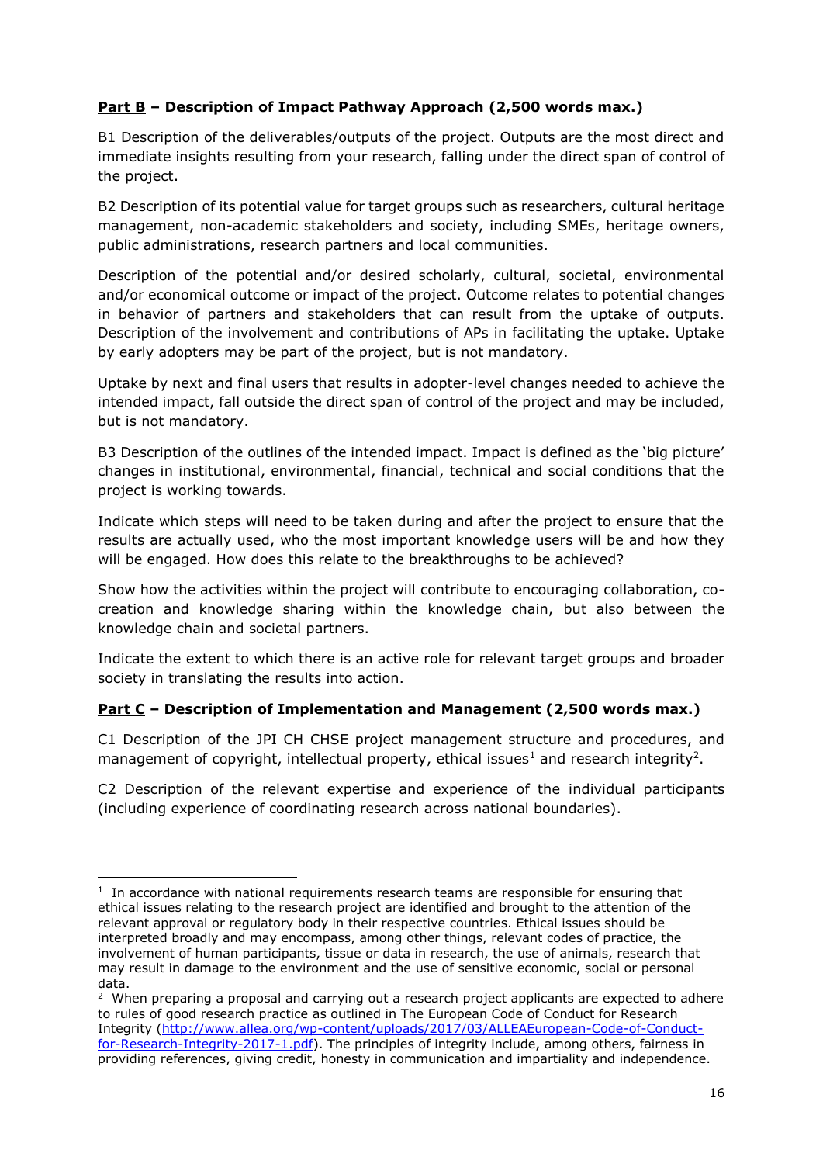# **Part B – Description of Impact Pathway Approach (2,500 words max.)**

B1 Description of the deliverables/outputs of the project. Outputs are the most direct and immediate insights resulting from your research, falling under the direct span of control of the project.

B2 Description of its potential value for target groups such as researchers, cultural heritage management, non-academic stakeholders and society, including SMEs, heritage owners, public administrations, research partners and local communities.

Description of the potential and/or desired scholarly, cultural, societal, environmental and/or economical outcome or impact of the project. Outcome relates to potential changes in behavior of partners and stakeholders that can result from the uptake of outputs. Description of the involvement and contributions of APs in facilitating the uptake. Uptake by early adopters may be part of the project, but is not mandatory.

Uptake by next and final users that results in adopter-level changes needed to achieve the intended impact, fall outside the direct span of control of the project and may be included, but is not mandatory.

B3 Description of the outlines of the intended impact. Impact is defined as the 'big picture' changes in institutional, environmental, financial, technical and social conditions that the project is working towards.

Indicate which steps will need to be taken during and after the project to ensure that the results are actually used, who the most important knowledge users will be and how they will be engaged. How does this relate to the breakthroughs to be achieved?

Show how the activities within the project will contribute to encouraging collaboration, cocreation and knowledge sharing within the knowledge chain, but also between the knowledge chain and societal partners.

Indicate the extent to which there is an active role for relevant target groups and broader society in translating the results into action.

# **Part C – Description of Implementation and Management (2,500 words max.)**

C1 Description of the JPI CH CHSE project management structure and procedures, and management of copyright, intellectual property, ethical issues<sup>1</sup> and research integrity<sup>2</sup>.

C2 Description of the relevant expertise and experience of the individual participants (including experience of coordinating research across national boundaries).

**<sup>.</sup>** <sup>1</sup> In accordance with national requirements research teams are responsible for ensuring that ethical issues relating to the research project are identified and brought to the attention of the relevant approval or regulatory body in their respective countries. Ethical issues should be interpreted broadly and may encompass, among other things, relevant codes of practice, the involvement of human participants, tissue or data in research, the use of animals, research that may result in damage to the environment and the use of sensitive economic, social or personal data.

 $2$  When preparing a proposal and carrying out a research project applicants are expected to adhere to rules of good research practice as outlined in The European Code of Conduct for Research Integrity [\(http://www.allea.org/wp-content/uploads/2017/03/ALLEAEuropean-Code-of-Conduct](http://www.allea.org/wp-content/uploads/2017/03/ALLEA-European-Code-of-Conduct-for-Research-Integrity-2017-1.pdf)[for-Research-Integrity-2017-1.pdf\)](http://www.allea.org/wp-content/uploads/2017/03/ALLEA-European-Code-of-Conduct-for-Research-Integrity-2017-1.pdf). The principles of integrity include, among others, fairness in providing references, giving credit, honesty in communication and impartiality and independence.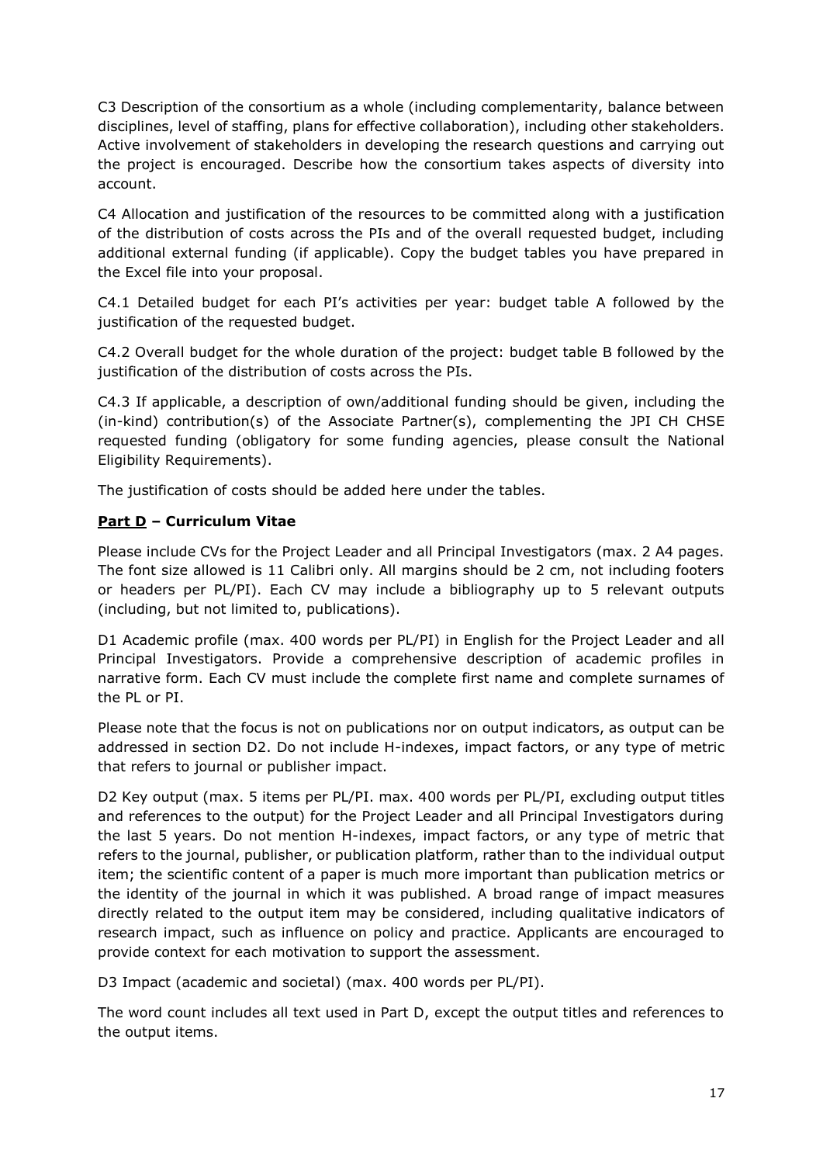C3 Description of the consortium as a whole (including complementarity, balance between disciplines, level of staffing, plans for effective collaboration), including other stakeholders. Active involvement of stakeholders in developing the research questions and carrying out the project is encouraged. Describe how the consortium takes aspects of diversity into account.

C4 Allocation and justification of the resources to be committed along with a justification of the distribution of costs across the PIs and of the overall requested budget, including additional external funding (if applicable). Copy the budget tables you have prepared in the Excel file into your proposal.

C4.1 Detailed budget for each PI's activities per year: budget table A followed by the justification of the requested budget.

C4.2 Overall budget for the whole duration of the project: budget table B followed by the justification of the distribution of costs across the PIs.

C4.3 If applicable, a description of own/additional funding should be given, including the (in-kind) contribution(s) of the Associate Partner(s), complementing the JPI CH CHSE requested funding (obligatory for some funding agencies, please consult the National Eligibility Requirements).

The justification of costs should be added here under the tables.

# **Part D – Curriculum Vitae**

Please include CVs for the Project Leader and all Principal Investigators (max. 2 A4 pages. The font size allowed is 11 Calibri only. All margins should be 2 cm, not including footers or headers per PL/PI). Each CV may include a bibliography up to 5 relevant outputs (including, but not limited to, publications).

D1 Academic profile (max. 400 words per PL/PI) in English for the Project Leader and all Principal Investigators. Provide a comprehensive description of academic profiles in narrative form. Each CV must include the complete first name and complete surnames of the PL or PI.

Please note that the focus is not on publications nor on output indicators, as output can be addressed in section D2. Do not include H-indexes, impact factors, or any type of metric that refers to journal or publisher impact.

D2 Key output (max. 5 items per PL/PI. max. 400 words per PL/PI, excluding output titles and references to the output) for the Project Leader and all Principal Investigators during the last 5 years. Do not mention H-indexes, impact factors, or any type of metric that refers to the journal, publisher, or publication platform, rather than to the individual output item; the scientific content of a paper is much more important than publication metrics or the identity of the journal in which it was published. A broad range of impact measures directly related to the output item may be considered, including qualitative indicators of research impact, such as influence on policy and practice. Applicants are encouraged to provide context for each motivation to support the assessment.

D3 Impact (academic and societal) (max. 400 words per PL/PI).

The word count includes all text used in Part D, except the output titles and references to the output items.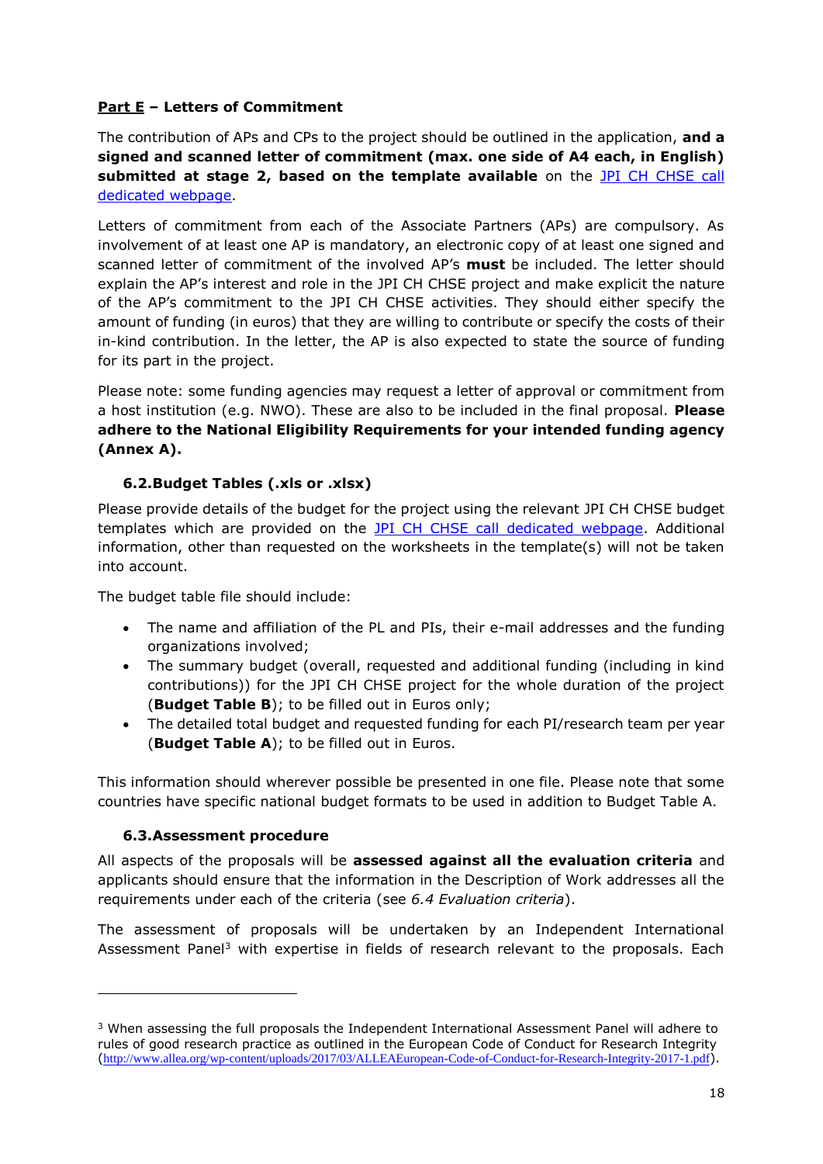# **Part E – Letters of Commitment**

The contribution of APs and CPs to the project should be outlined in the application, **and a signed and scanned letter of commitment (max. one side of A4 each, in English) submitted at stage 2, based on the template available** on the [JPI CH CHSE call](https://www.heritageresearch-hub.eu/funding/cultural-heritage-society-and-ethics-joint-call-2022/)  [dedicated webpage.](https://www.heritageresearch-hub.eu/funding/cultural-heritage-society-and-ethics-joint-call-2022/)

Letters of commitment from each of the Associate Partners (APs) are compulsory. As involvement of at least one AP is mandatory, an electronic copy of at least one signed and scanned letter of commitment of the involved AP's **must** be included. The letter should explain the AP's interest and role in the JPI CH CHSE project and make explicit the nature of the AP's commitment to the JPI CH CHSE activities. They should either specify the amount of funding (in euros) that they are willing to contribute or specify the costs of their in-kind contribution. In the letter, the AP is also expected to state the source of funding for its part in the project.

Please note: some funding agencies may request a letter of approval or commitment from a host institution (e.g. NWO). These are also to be included in the final proposal. **Please adhere to the National Eligibility Requirements for your intended funding agency (Annex A).**

# <span id="page-17-0"></span>**6.2.Budget Tables (.xls or .xlsx)**

Please provide details of the budget for the project using the relevant JPI CH CHSE budget templates which are provided on the **JPI CH CHSE call dedicated webpage**. Additional information, other than requested on the worksheets in the template(s) will not be taken into account.

The budget table file should include:

- The name and affiliation of the PL and PIs, their e-mail addresses and the funding organizations involved;
- The summary budget (overall, requested and additional funding (including in kind contributions)) for the JPI CH CHSE project for the whole duration of the project (**Budget Table B**); to be filled out in Euros only;
- The detailed total budget and requested funding for each PI/research team per year (**Budget Table A**); to be filled out in Euros.

This information should wherever possible be presented in one file. Please note that some countries have specific national budget formats to be used in addition to Budget Table A.

#### **6.3.Assessment procedure**

**.** 

<span id="page-17-1"></span>All aspects of the proposals will be **assessed against all the evaluation criteria** and applicants should ensure that the information in the Description of Work addresses all the requirements under each of the criteria (see *6.4 Evaluation criteria*).

The assessment of proposals will be undertaken by an Independent International Assessment Panel<sup>3</sup> with expertise in fields of research relevant to the proposals. Each

<sup>&</sup>lt;sup>3</sup> When assessing the full proposals the Independent International Assessment Panel will adhere to rules of good research practice as outlined in the European Code of Conduct for Research Integrity ([http://www.allea.org/wp-content/uploads/2017/03/ALLEAEuropean-Code-of-Conduct-for-Research-Integrity-2017-1.pdf](http://www.allea.org/wp-content/uploads/2017/03/ALLEA-European-Code-of-Conduct-for-Research-Integrity-2017-1.pdf)).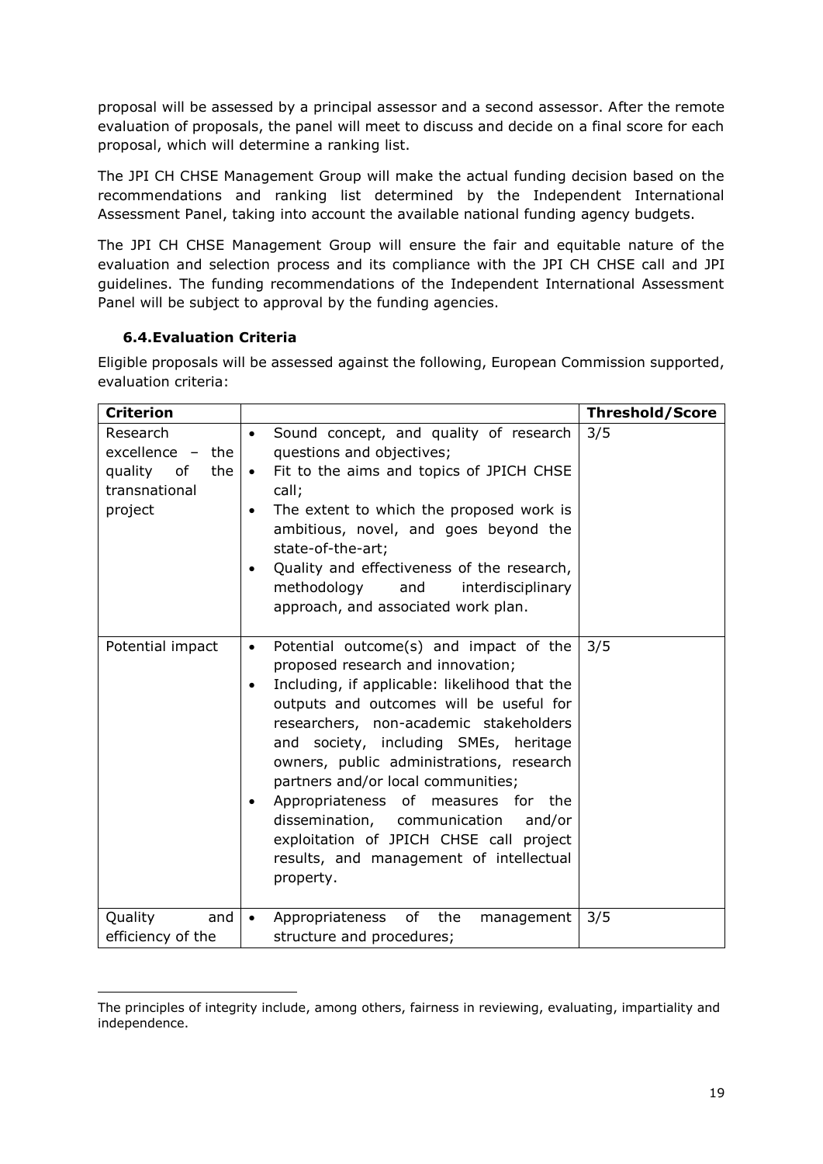proposal will be assessed by a principal assessor and a second assessor. After the remote evaluation of proposals, the panel will meet to discuss and decide on a final score for each proposal, which will determine a ranking list.

The JPI CH CHSE Management Group will make the actual funding decision based on the recommendations and ranking list determined by the Independent International Assessment Panel, taking into account the available national funding agency budgets.

The JPI CH CHSE Management Group will ensure the fair and equitable nature of the evaluation and selection process and its compliance with the JPI CH CHSE call and JPI guidelines. The funding recommendations of the Independent International Assessment Panel will be subject to approval by the funding agencies.

# **6.4.Evaluation Criteria**

<span id="page-18-0"></span>Eligible proposals will be assessed against the following, European Commission supported, evaluation criteria:

| <b>Criterion</b>                                                                 |                                                                                                                                                                                                                                                                                                                                                                                                                                                                                                                                               | <b>Threshold/Score</b> |
|----------------------------------------------------------------------------------|-----------------------------------------------------------------------------------------------------------------------------------------------------------------------------------------------------------------------------------------------------------------------------------------------------------------------------------------------------------------------------------------------------------------------------------------------------------------------------------------------------------------------------------------------|------------------------|
| Research<br>excellence -<br>the<br>quality of<br>the<br>transnational<br>project | Sound concept, and quality of research<br>$\bullet$<br>questions and objectives;<br>Fit to the aims and topics of JPICH CHSE<br>$\bullet$<br>call;<br>The extent to which the proposed work is<br>$\bullet$<br>ambitious, novel, and goes beyond the<br>state-of-the-art;<br>Quality and effectiveness of the research,<br>$\bullet$<br>methodology<br>and<br>interdisciplinary<br>approach, and associated work plan.                                                                                                                        | 3/5                    |
| Potential impact                                                                 | Potential outcome(s) and impact of the<br>$\bullet$<br>proposed research and innovation;<br>Including, if applicable: likelihood that the<br>outputs and outcomes will be useful for<br>researchers, non-academic stakeholders<br>and society, including SMEs, heritage<br>owners, public administrations, research<br>partners and/or local communities;<br>Appropriateness of measures for the<br>dissemination, communication<br>and/or<br>exploitation of JPICH CHSE call project<br>results, and management of intellectual<br>property. | 3/5                    |
| Quality<br>and<br>efficiency of the                                              | Appropriateness<br>of the<br>management<br>$\bullet$<br>structure and procedures;                                                                                                                                                                                                                                                                                                                                                                                                                                                             | 3/5                    |

 $\overline{a}$ The principles of integrity include, among others, fairness in reviewing, evaluating, impartiality and independence.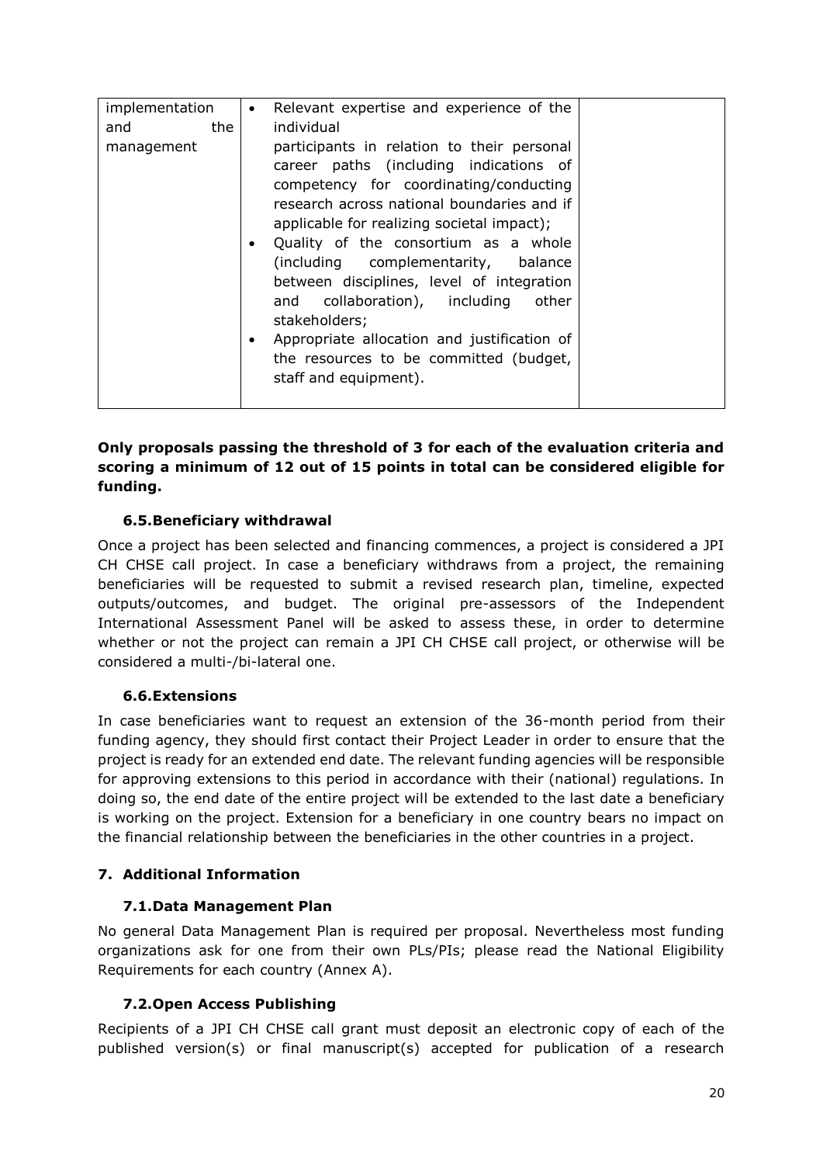| implementation<br>Relevant expertise and experience of the<br>$\bullet$                                                                                                                                                                                                                                                                                                                                                                                                                                                                                            |       |
|--------------------------------------------------------------------------------------------------------------------------------------------------------------------------------------------------------------------------------------------------------------------------------------------------------------------------------------------------------------------------------------------------------------------------------------------------------------------------------------------------------------------------------------------------------------------|-------|
| individual<br>the<br>and                                                                                                                                                                                                                                                                                                                                                                                                                                                                                                                                           |       |
| participants in relation to their personal<br>management<br>career paths (including indications of<br>competency for coordinating/conducting<br>research across national boundaries and if<br>applicable for realizing societal impact);<br>Quality of the consortium as a whole<br>$\bullet$<br>(including complementarity, balance<br>between disciplines, level of integration<br>and collaboration), including<br>stakeholders;<br>Appropriate allocation and justification of<br>$\bullet$<br>the resources to be committed (budget,<br>staff and equipment). | other |

#### **Only proposals passing the threshold of 3 for each of the evaluation criteria and scoring a minimum of 12 out of 15 points in total can be considered eligible for funding.**

# <span id="page-19-0"></span>**6.5.Beneficiary withdrawal**

Once a project has been selected and financing commences, a project is considered a JPI CH CHSE call project. In case a beneficiary withdraws from a project, the remaining beneficiaries will be requested to submit a revised research plan, timeline, expected outputs/outcomes, and budget. The original pre-assessors of the Independent International Assessment Panel will be asked to assess these, in order to determine whether or not the project can remain a JPI CH CHSE call project, or otherwise will be considered a multi-/bi-lateral one.

#### <span id="page-19-1"></span>**6.6.Extensions**

In case beneficiaries want to request an extension of the 36-month period from their funding agency, they should first contact their Project Leader in order to ensure that the project is ready for an extended end date. The relevant funding agencies will be responsible for approving extensions to this period in accordance with their (national) regulations. In doing so, the end date of the entire project will be extended to the last date a beneficiary is working on the project. Extension for a beneficiary in one country bears no impact on the financial relationship between the beneficiaries in the other countries in a project.

# <span id="page-19-3"></span><span id="page-19-2"></span>**7. Additional Information**

# **7.1.Data Management Plan**

No general Data Management Plan is required per proposal. Nevertheless most funding organizations ask for one from their own PLs/PIs; please read the National Eligibility Requirements for each country (Annex A).

#### **7.2.Open Access Publishing**

<span id="page-19-4"></span>Recipients of a JPI CH CHSE call grant must deposit an electronic copy of each of the published version(s) or final manuscript(s) accepted for publication of a research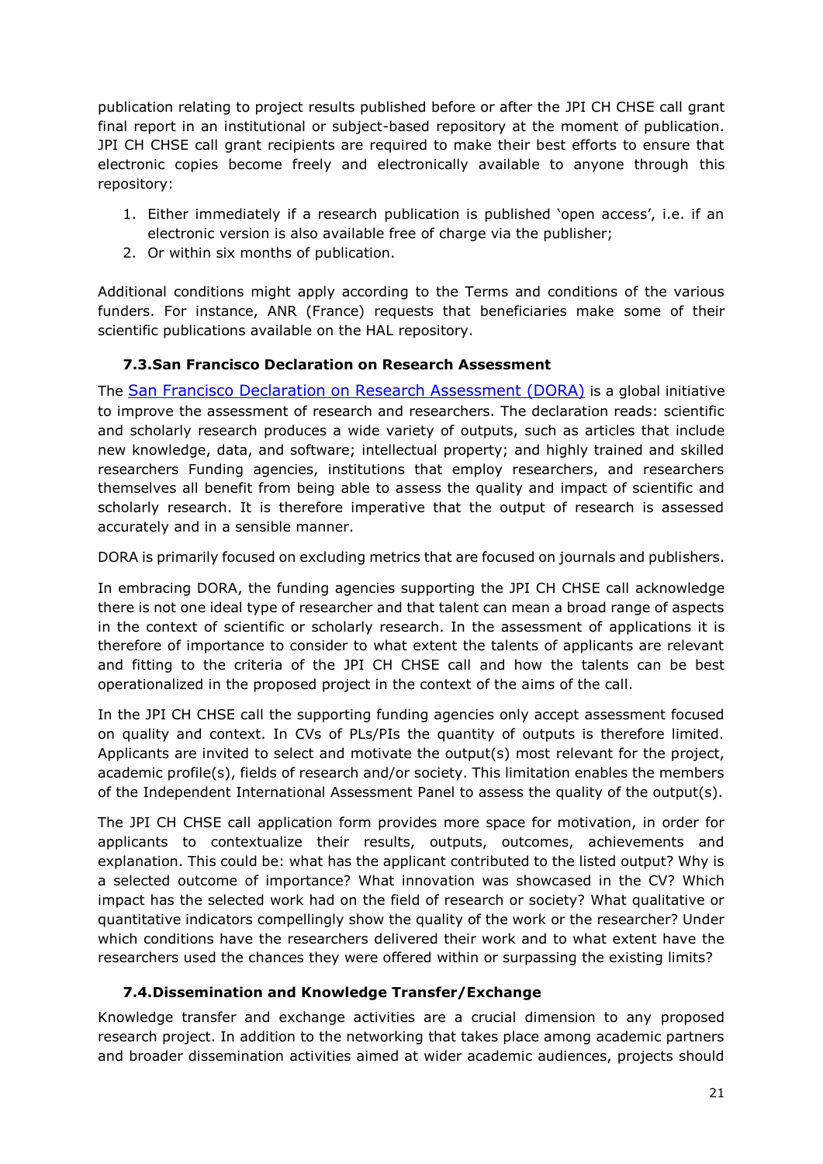publication relating to project results published before or after the JPI CH CHSE call grant final report in an institutional or subject-based repository at the moment of publication. JPI CH CHSE call grant recipients are required to make their best efforts to ensure that electronic copies become freely and electronically available to anyone through this repository:

- 1. Either immediately if a research publication is published 'open access', i.e. if an electronic version is also available free of charge via the publisher;
- 2. Or within six months of publication.

Additional conditions might apply according to the Terms and conditions of the various funders. For instance, ANR (France) requests that beneficiaries make some of their scientific publications available on the HAL repository.

#### <span id="page-20-0"></span>**7.3.San Francisco Declaration on Research Assessment**

The [San Francisco Declaration on Research Assessment \(DORA\)](https://sfdora.org/) is a global initiative to improve the assessment of research and researchers. The declaration reads: scientific and scholarly research produces a wide variety of outputs, such as articles that include new knowledge, data, and software; intellectual property; and highly trained and skilled researchers Funding agencies, institutions that employ researchers, and researchers themselves all benefit from being able to assess the quality and impact of scientific and scholarly research. It is therefore imperative that the output of research is assessed accurately and in a sensible manner.

DORA is primarily focused on excluding metrics that are focused on journals and publishers.

In embracing DORA, the funding agencies supporting the JPI CH CHSE call acknowledge there is not one ideal type of researcher and that talent can mean a broad range of aspects in the context of scientific or scholarly research. In the assessment of applications it is therefore of importance to consider to what extent the talents of applicants are relevant and fitting to the criteria of the JPI CH CHSE call and how the talents can be best operationalized in the proposed project in the context of the aims of the call.

In the JPI CH CHSE call the supporting funding agencies only accept assessment focused on quality and context. In CVs of PLs/PIs the quantity of outputs is therefore limited. Applicants are invited to select and motivate the output(s) most relevant for the project, academic profile(s), fields of research and/or society. This limitation enables the members of the Independent International Assessment Panel to assess the quality of the output(s).

The JPI CH CHSE call application form provides more space for motivation, in order for applicants to contextualize their results, outputs, outcomes, achievements and explanation. This could be: what has the applicant contributed to the listed output? Why is a selected outcome of importance? What innovation was showcased in the CV? Which impact has the selected work had on the field of research or society? What qualitative or quantitative indicators compellingly show the quality of the work or the researcher? Under which conditions have the researchers delivered their work and to what extent have the researchers used the chances they were offered within or surpassing the existing limits?

# <span id="page-20-1"></span>**7.4.Dissemination and Knowledge Transfer/Exchange**

Knowledge transfer and exchange activities are a crucial dimension to any proposed research project. In addition to the networking that takes place among academic partners and broader dissemination activities aimed at wider academic audiences, projects should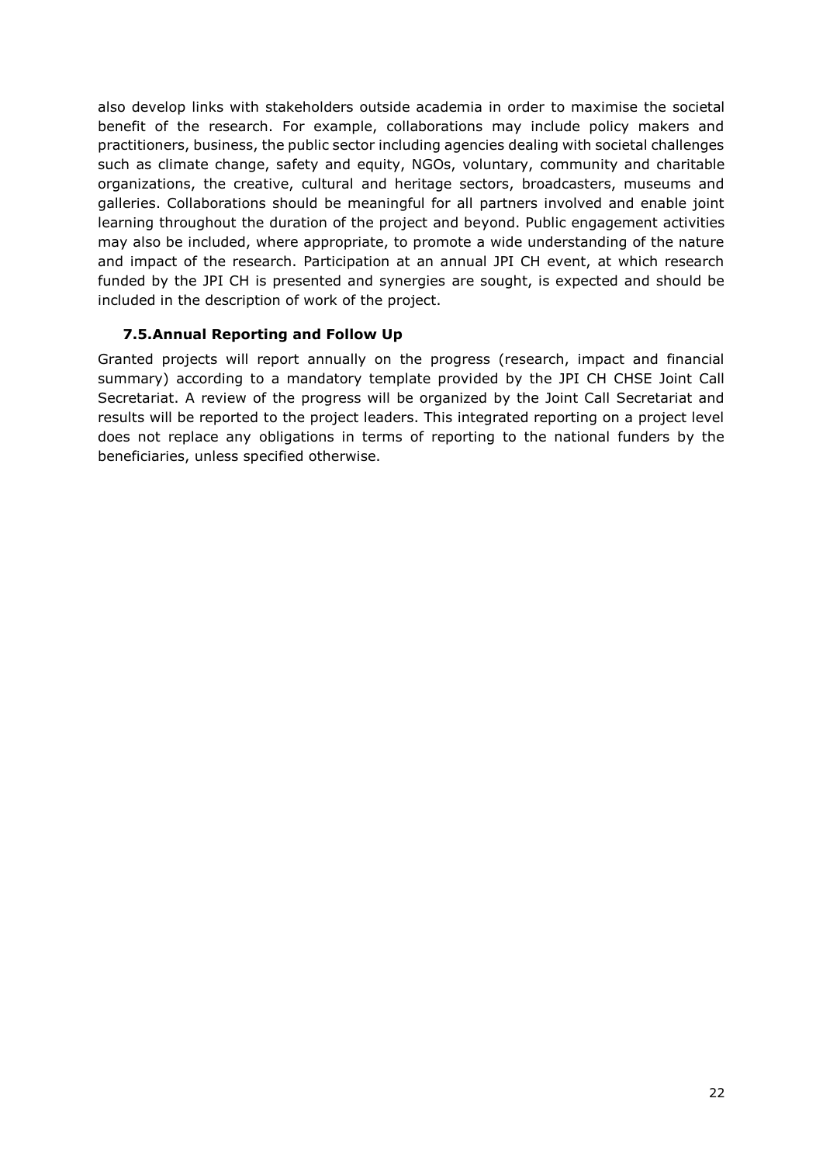also develop links with stakeholders outside academia in order to maximise the societal benefit of the research. For example, collaborations may include policy makers and practitioners, business, the public sector including agencies dealing with societal challenges such as climate change, safety and equity, NGOs, voluntary, community and charitable organizations, the creative, cultural and heritage sectors, broadcasters, museums and galleries. Collaborations should be meaningful for all partners involved and enable joint learning throughout the duration of the project and beyond. Public engagement activities may also be included, where appropriate, to promote a wide understanding of the nature and impact of the research. Participation at an annual JPI CH event, at which research funded by the JPI CH is presented and synergies are sought, is expected and should be included in the description of work of the project.

#### <span id="page-21-0"></span>**7.5.Annual Reporting and Follow Up**

Granted projects will report annually on the progress (research, impact and financial summary) according to a mandatory template provided by the JPI CH CHSE Joint Call Secretariat. A review of the progress will be organized by the Joint Call Secretariat and results will be reported to the project leaders. This integrated reporting on a project level does not replace any obligations in terms of reporting to the national funders by the beneficiaries, unless specified otherwise.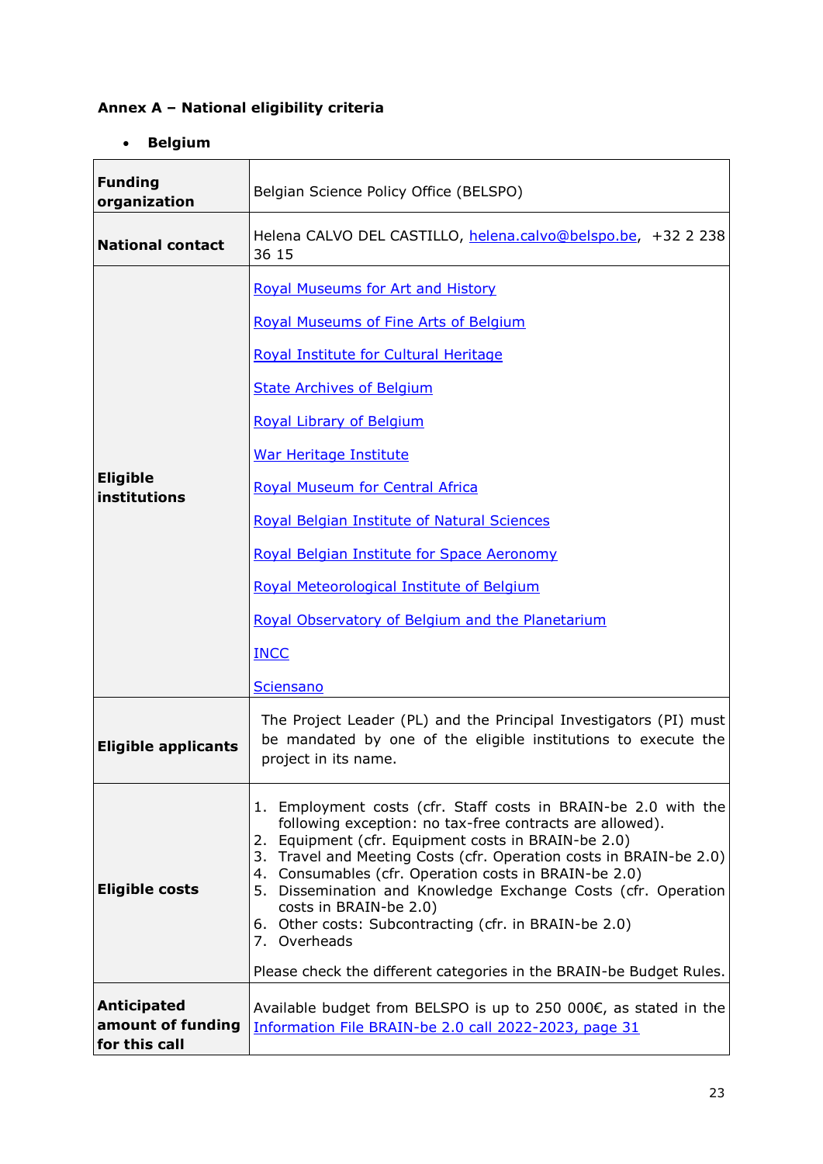# <span id="page-22-1"></span><span id="page-22-0"></span>**Annex A – National eligibility criteria**

# **•** Belgium

| <b>Funding</b><br>organization                           | Belgian Science Policy Office (BELSPO)                                                                                                                                                                                                                                                                                                                                                                                                                                                                                                                      |
|----------------------------------------------------------|-------------------------------------------------------------------------------------------------------------------------------------------------------------------------------------------------------------------------------------------------------------------------------------------------------------------------------------------------------------------------------------------------------------------------------------------------------------------------------------------------------------------------------------------------------------|
| <b>National contact</b>                                  | Helena CALVO DEL CASTILLO, helena.calvo@belspo.be, +32 2 238<br>36 15                                                                                                                                                                                                                                                                                                                                                                                                                                                                                       |
| <b>Eligible</b><br>institutions                          | <b>Royal Museums for Art and History</b><br><b>Royal Museums of Fine Arts of Belgium</b><br>Royal Institute for Cultural Heritage<br><b>State Archives of Belgium</b><br><b>Royal Library of Belgium</b><br><b>War Heritage Institute</b><br><b>Royal Museum for Central Africa</b><br>Royal Belgian Institute of Natural Sciences<br>Royal Belgian Institute for Space Aeronomy<br>Royal Meteorological Institute of Belgium<br>Royal Observatory of Belgium and the Planetarium<br><b>INCC</b><br><b>Sciensano</b>                                        |
| <b>Eligible applicants</b>                               | The Project Leader (PL) and the Principal Investigators (PI) must<br>be mandated by one of the eligible institutions to execute the<br>project in its name.                                                                                                                                                                                                                                                                                                                                                                                                 |
| <b>Eligible costs</b>                                    | 1. Employment costs (cfr. Staff costs in BRAIN-be 2.0 with the<br>following exception: no tax-free contracts are allowed).<br>2. Equipment (cfr. Equipment costs in BRAIN-be 2.0)<br>3. Travel and Meeting Costs (cfr. Operation costs in BRAIN-be 2.0)<br>4. Consumables (cfr. Operation costs in BRAIN-be 2.0)<br>5. Dissemination and Knowledge Exchange Costs (cfr. Operation<br>costs in BRAIN-be 2.0)<br>6. Other costs: Subcontracting (cfr. in BRAIN-be 2.0)<br>7. Overheads<br>Please check the different categories in the BRAIN-be Budget Rules. |
| <b>Anticipated</b><br>amount of funding<br>for this call | Available budget from BELSPO is up to 250 000€, as stated in the<br>Information File BRAIN-be 2.0 call 2022-2023, page 31                                                                                                                                                                                                                                                                                                                                                                                                                                   |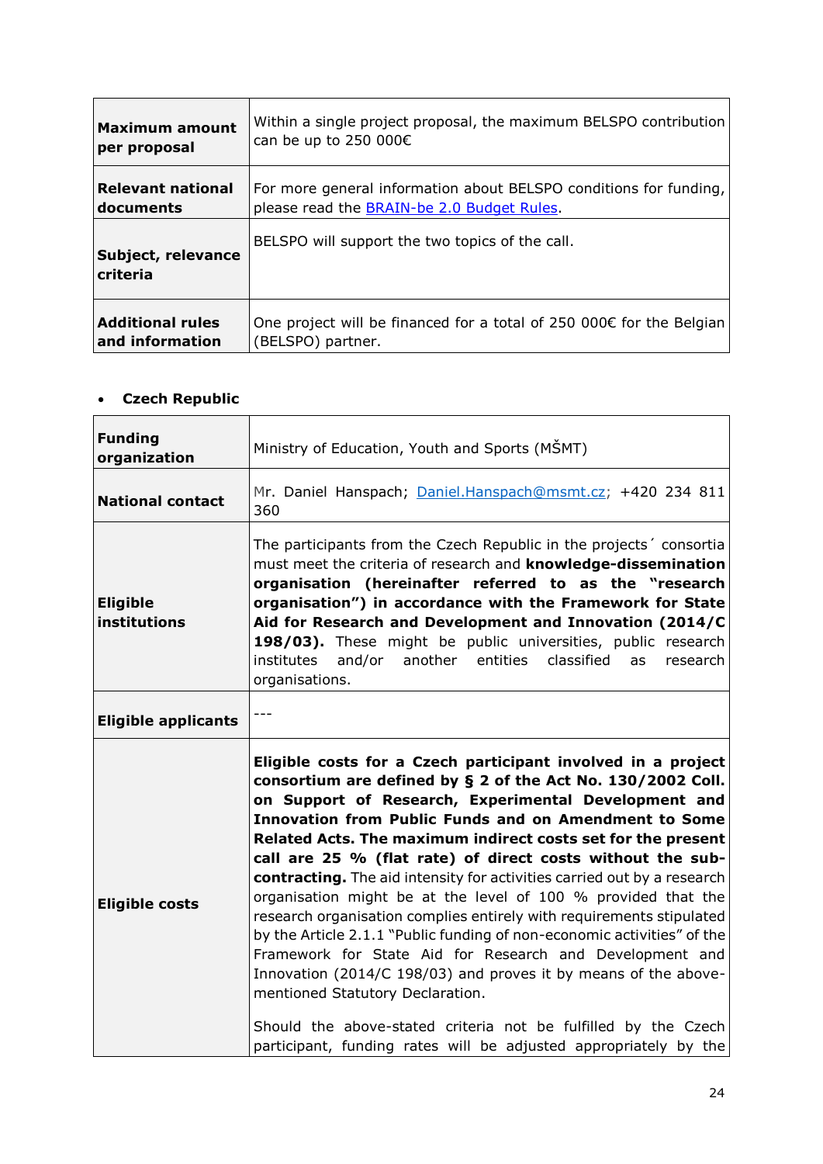| <b>Maximum amount</b>          | Within a single project proposal, the maximum BELSPO contribution              |
|--------------------------------|--------------------------------------------------------------------------------|
| per proposal                   | can be up to 250 000 $\epsilon$                                                |
| <b>Relevant national</b>       | For more general information about BELSPO conditions for funding,              |
| documents                      | please read the <b>BRAIN-be 2.0 Budget Rules</b> .                             |
| Subject, relevance<br>criteria | BELSPO will support the two topics of the call.                                |
| <b>Additional rules</b>        | One project will be financed for a total of 250 000 $\epsilon$ for the Belgian |
| and information                | (BELSPO) partner.                                                              |

# <span id="page-23-0"></span>**Czech Republic**

| <b>Funding</b><br>organization  | Ministry of Education, Youth and Sports (MŠMT)                                                                                                                                                                                                                                                                                                                                                                                                                                                                                                                                                                                                                                                                                                                                                                                                                                                                                                                                            |
|---------------------------------|-------------------------------------------------------------------------------------------------------------------------------------------------------------------------------------------------------------------------------------------------------------------------------------------------------------------------------------------------------------------------------------------------------------------------------------------------------------------------------------------------------------------------------------------------------------------------------------------------------------------------------------------------------------------------------------------------------------------------------------------------------------------------------------------------------------------------------------------------------------------------------------------------------------------------------------------------------------------------------------------|
| <b>National contact</b>         | Mr. Daniel Hanspach; Daniel.Hanspach@msmt.cz; +420 234 811<br>360                                                                                                                                                                                                                                                                                                                                                                                                                                                                                                                                                                                                                                                                                                                                                                                                                                                                                                                         |
| <b>Eligible</b><br>institutions | The participants from the Czech Republic in the projects' consortia<br>must meet the criteria of research and knowledge-dissemination<br>organisation (hereinafter referred to as the "research<br>organisation") in accordance with the Framework for State<br>Aid for Research and Development and Innovation (2014/C<br>198/03). These might be public universities, public research<br>institutes<br>and/or<br>another entities classified<br>research<br>as<br>organisations.                                                                                                                                                                                                                                                                                                                                                                                                                                                                                                        |
| <b>Eligible applicants</b>      |                                                                                                                                                                                                                                                                                                                                                                                                                                                                                                                                                                                                                                                                                                                                                                                                                                                                                                                                                                                           |
| <b>Eligible costs</b>           | Eligible costs for a Czech participant involved in a project<br>consortium are defined by § 2 of the Act No. 130/2002 Coll.<br>on Support of Research, Experimental Development and<br><b>Innovation from Public Funds and on Amendment to Some</b><br>Related Acts. The maximum indirect costs set for the present<br>call are 25 % (flat rate) of direct costs without the sub-<br>contracting. The aid intensity for activities carried out by a research<br>organisation might be at the level of 100 % provided that the<br>research organisation complies entirely with requirements stipulated<br>by the Article 2.1.1 "Public funding of non-economic activities" of the<br>Framework for State Aid for Research and Development and<br>Innovation (2014/C 198/03) and proves it by means of the above-<br>mentioned Statutory Declaration.<br>Should the above-stated criteria not be fulfilled by the Czech<br>participant, funding rates will be adjusted appropriately by the |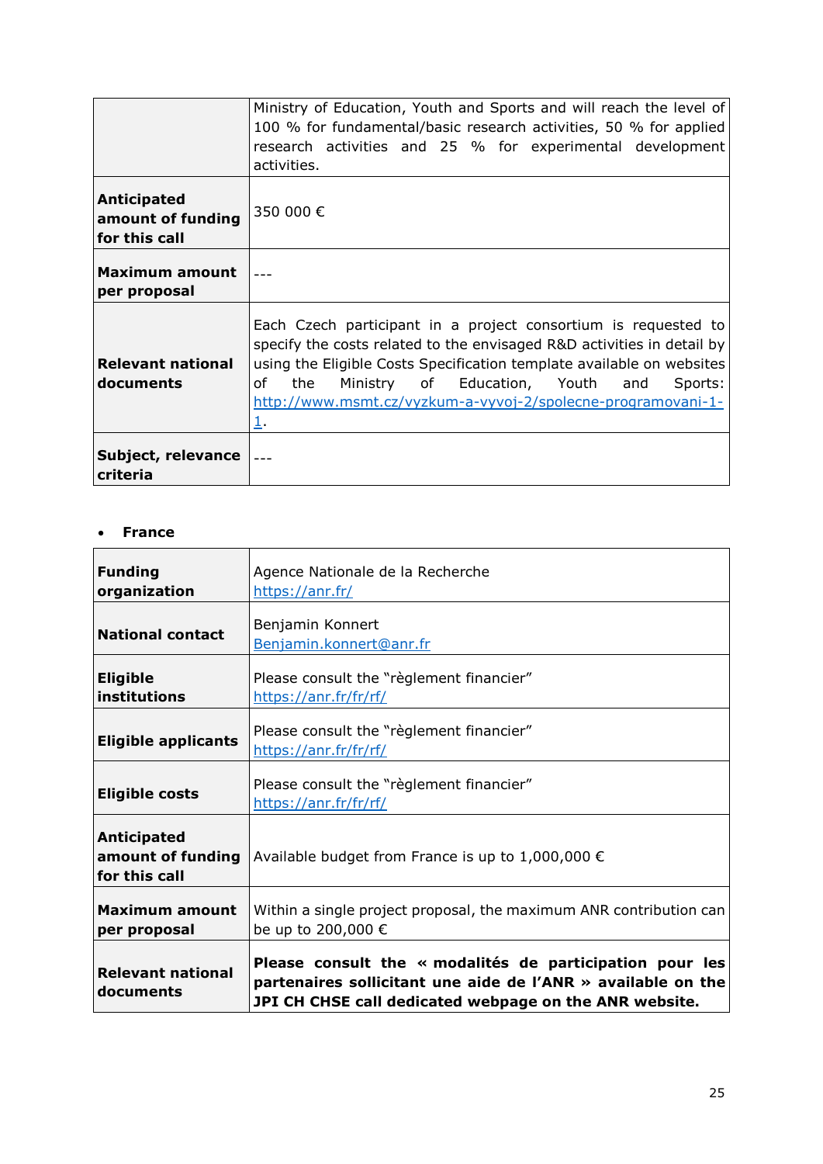|                                                          | Ministry of Education, Youth and Sports and will reach the level of<br>100 % for fundamental/basic research activities, 50 % for applied<br>research activities and 25 % for experimental development<br>activities.                                                                                                                                   |
|----------------------------------------------------------|--------------------------------------------------------------------------------------------------------------------------------------------------------------------------------------------------------------------------------------------------------------------------------------------------------------------------------------------------------|
| <b>Anticipated</b><br>amount of funding<br>for this call | 350 000 €                                                                                                                                                                                                                                                                                                                                              |
| <b>Maximum amount</b><br>per proposal                    |                                                                                                                                                                                                                                                                                                                                                        |
| <b>Relevant national</b><br>documents                    | Each Czech participant in a project consortium is requested to<br>specify the costs related to the envisaged R&D activities in detail by<br>using the Eligible Costs Specification template available on websites<br>of<br>Ministry of Education, Youth<br>the<br>Sports:<br>and<br>http://www.msmt.cz/vyzkum-a-vyvoj-2/spolecne-programovani-1-<br>1. |
| Subject, relevance<br>criteria                           |                                                                                                                                                                                                                                                                                                                                                        |

#### <span id="page-24-0"></span>**France**

| <b>Funding</b><br>organization                           | Agence Nationale de la Recherche<br>https://anr.fr/                                                                                                                                    |
|----------------------------------------------------------|----------------------------------------------------------------------------------------------------------------------------------------------------------------------------------------|
| <b>National contact</b>                                  | Benjamin Konnert<br>Benjamin.konnert@anr.fr                                                                                                                                            |
| <b>Eligible</b><br>institutions                          | Please consult the "règlement financier"<br>https://anr.fr/fr/rf/                                                                                                                      |
| <b>Eligible applicants</b>                               | Please consult the "règlement financier"<br>https://anr.fr/fr/rf/                                                                                                                      |
| <b>Eligible costs</b>                                    | Please consult the "règlement financier"<br>https://anr.fr/fr/rf/                                                                                                                      |
| <b>Anticipated</b><br>amount of funding<br>for this call | Available budget from France is up to $1,000,000 \in$                                                                                                                                  |
| <b>Maximum amount</b><br>per proposal                    | Within a single project proposal, the maximum ANR contribution can<br>be up to 200,000 €                                                                                               |
| <b>Relevant national</b><br>documents                    | Please consult the « modalités de participation pour les<br>partenaires sollicitant une aide de l'ANR $\gg$ available on the<br>JPI CH CHSE call dedicated webpage on the ANR website. |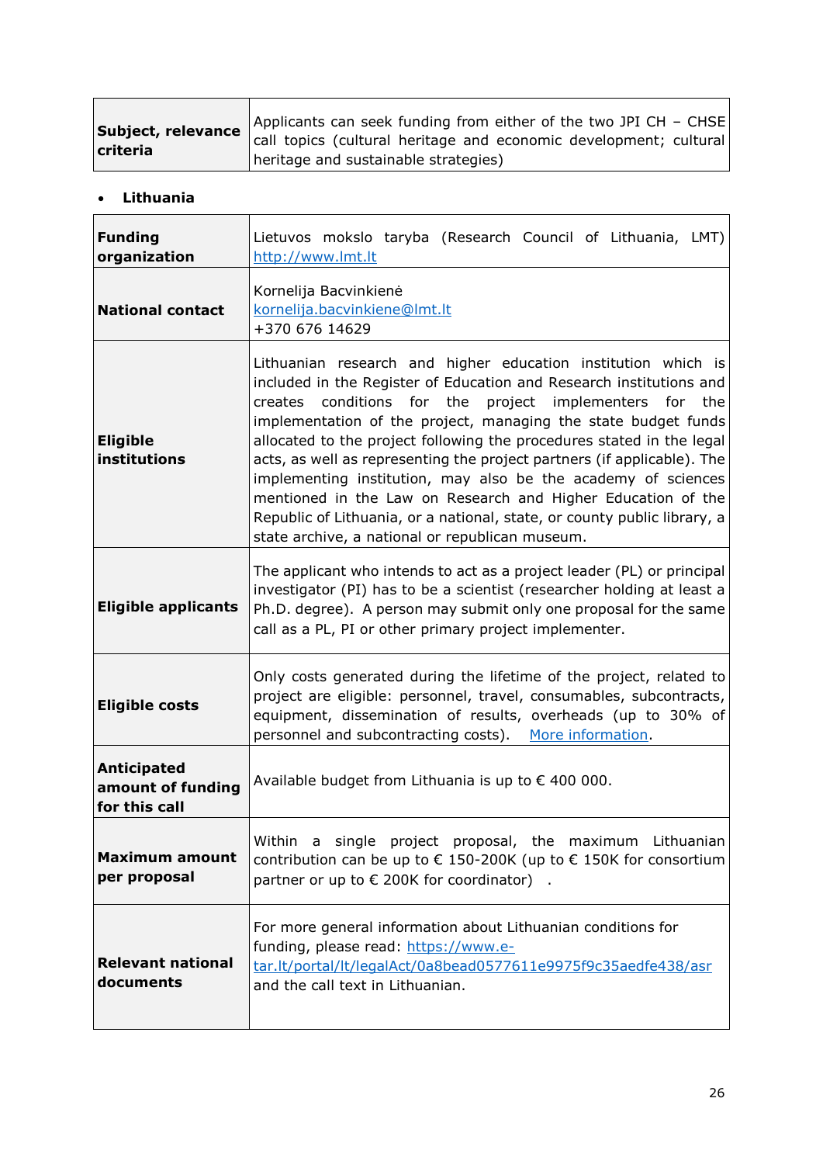| Subject, relevance | Applicants can seek funding from either of the two JPI CH - CHSE<br>call topics (cultural heritage and economic development; cultural |
|--------------------|---------------------------------------------------------------------------------------------------------------------------------------|
| criteria           | heritage and sustainable strategies)                                                                                                  |

#### <span id="page-25-0"></span>**Lithuania**

| <b>Funding</b><br>organization                           | Lietuvos mokslo taryba (Research Council of Lithuania, LMT)<br>http://www.lmt.lt                                                                                                                                                                                                                                                                                                                                                                                                                                                                                                                                                                                                            |
|----------------------------------------------------------|---------------------------------------------------------------------------------------------------------------------------------------------------------------------------------------------------------------------------------------------------------------------------------------------------------------------------------------------------------------------------------------------------------------------------------------------------------------------------------------------------------------------------------------------------------------------------------------------------------------------------------------------------------------------------------------------|
| <b>National contact</b>                                  | Kornelija Bacvinkienė<br>kornelija.bacvinkiene@lmt.lt<br>+370 676 14629                                                                                                                                                                                                                                                                                                                                                                                                                                                                                                                                                                                                                     |
| <b>Eligible</b><br>institutions                          | Lithuanian research and higher education institution which is<br>included in the Register of Education and Research institutions and<br>conditions for the<br>project implementers for the<br>creates<br>implementation of the project, managing the state budget funds<br>allocated to the project following the procedures stated in the legal<br>acts, as well as representing the project partners (if applicable). The<br>implementing institution, may also be the academy of sciences<br>mentioned in the Law on Research and Higher Education of the<br>Republic of Lithuania, or a national, state, or county public library, a<br>state archive, a national or republican museum. |
| <b>Eligible applicants</b>                               | The applicant who intends to act as a project leader (PL) or principal<br>investigator (PI) has to be a scientist (researcher holding at least a<br>Ph.D. degree). A person may submit only one proposal for the same<br>call as a PL, PI or other primary project implementer.                                                                                                                                                                                                                                                                                                                                                                                                             |
| <b>Eligible costs</b>                                    | Only costs generated during the lifetime of the project, related to<br>project are eligible: personnel, travel, consumables, subcontracts,<br>equipment, dissemination of results, overheads (up to 30% of<br>personnel and subcontracting costs). More information.                                                                                                                                                                                                                                                                                                                                                                                                                        |
| <b>Anticipated</b><br>amount of funding<br>for this call | Available budget from Lithuania is up to € 400 000.                                                                                                                                                                                                                                                                                                                                                                                                                                                                                                                                                                                                                                         |
| Maximum amount<br>per proposal                           | Within a single project proposal, the maximum Lithuanian<br>contribution can be up to € 150-200K (up to € 150K for consortium<br>partner or up to $\epsilon$ 200K for coordinator).                                                                                                                                                                                                                                                                                                                                                                                                                                                                                                         |
| <b>Relevant national</b><br>documents                    | For more general information about Lithuanian conditions for<br>funding, please read: https://www.e-<br>tar.lt/portal/lt/legalAct/0a8bead0577611e9975f9c35aedfe438/asr<br>and the call text in Lithuanian.                                                                                                                                                                                                                                                                                                                                                                                                                                                                                  |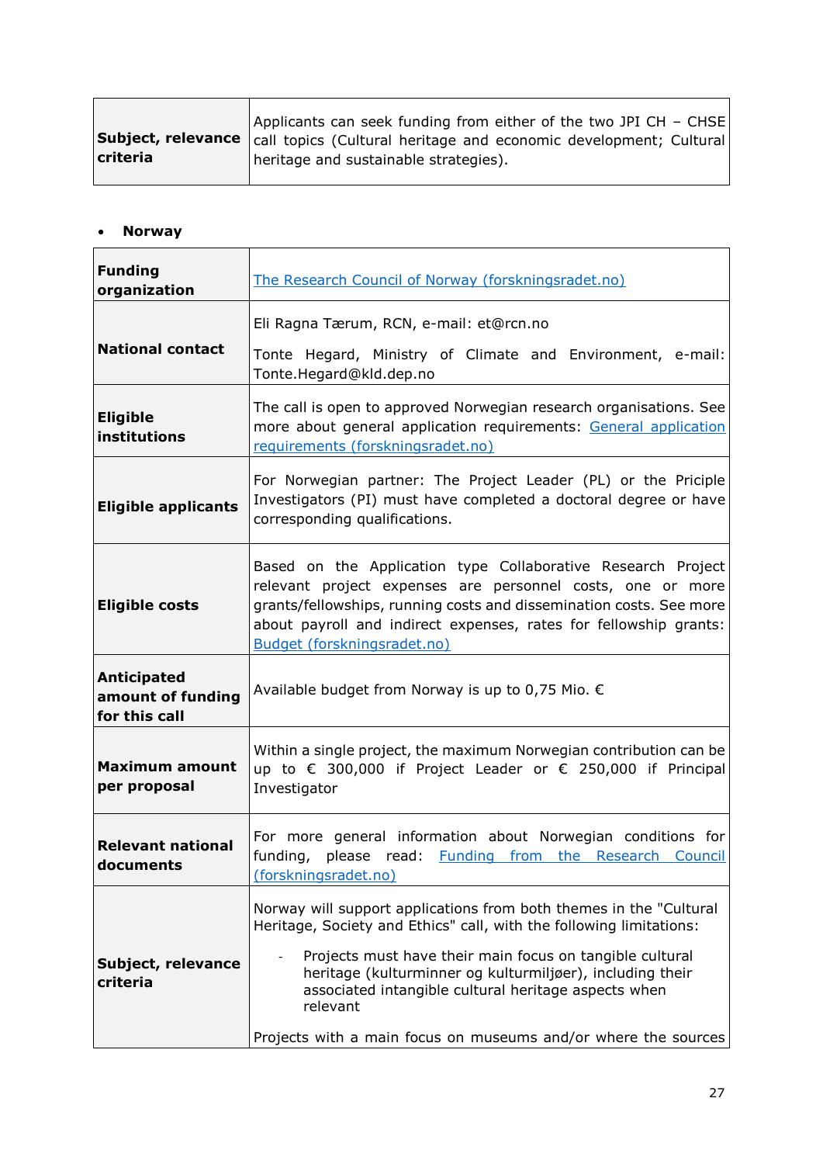| Subject, relevance<br>criteria | Applicants can seek funding from either of the two JPI CH - CHSE<br>call topics (Cultural heritage and economic development; Cultural<br>heritage and sustainable strategies). |
|--------------------------------|--------------------------------------------------------------------------------------------------------------------------------------------------------------------------------|
|--------------------------------|--------------------------------------------------------------------------------------------------------------------------------------------------------------------------------|

# <span id="page-26-0"></span>**Norway**

| <b>Funding</b><br>organization                           | The Research Council of Norway (forskningsradet.no)                                                                                                                                                                                                                                                                                                                                                      |
|----------------------------------------------------------|----------------------------------------------------------------------------------------------------------------------------------------------------------------------------------------------------------------------------------------------------------------------------------------------------------------------------------------------------------------------------------------------------------|
|                                                          | Eli Ragna Tærum, RCN, e-mail: et@rcn.no                                                                                                                                                                                                                                                                                                                                                                  |
| <b>National contact</b>                                  | Tonte Hegard, Ministry of Climate and Environment, e-mail:<br>Tonte.Hegard@kld.dep.no                                                                                                                                                                                                                                                                                                                    |
| <b>Eligible</b><br>institutions                          | The call is open to approved Norwegian research organisations. See<br>more about general application requirements: General application<br>requirements (forskningsradet.no)                                                                                                                                                                                                                              |
| <b>Eligible applicants</b>                               | For Norwegian partner: The Project Leader (PL) or the Priciple<br>Investigators (PI) must have completed a doctoral degree or have<br>corresponding qualifications.                                                                                                                                                                                                                                      |
| <b>Eligible costs</b>                                    | Based on the Application type Collaborative Research Project<br>relevant project expenses are personnel costs, one or more<br>grants/fellowships, running costs and dissemination costs. See more<br>about payroll and indirect expenses, rates for fellowship grants:<br>Budget (forskningsradet.no)                                                                                                    |
| <b>Anticipated</b><br>amount of funding<br>for this call | Available budget from Norway is up to 0,75 Mio. €                                                                                                                                                                                                                                                                                                                                                        |
| <b>Maximum amount</b><br>per proposal                    | Within a single project, the maximum Norwegian contribution can be<br>up to € 300,000 if Project Leader or € 250,000 if Principal<br>Investigator                                                                                                                                                                                                                                                        |
| <b>Relevant national</b><br>documents                    | For more general information about Norwegian conditions for<br>please read: Funding from the Research Council<br>funding,<br>(forskningsradet.no)                                                                                                                                                                                                                                                        |
| Subject, relevance<br>criteria                           | Norway will support applications from both themes in the "Cultural<br>Heritage, Society and Ethics" call, with the following limitations:<br>Projects must have their main focus on tangible cultural<br>heritage (kulturminner og kulturmiljøer), including their<br>associated intangible cultural heritage aspects when<br>relevant<br>Projects with a main focus on museums and/or where the sources |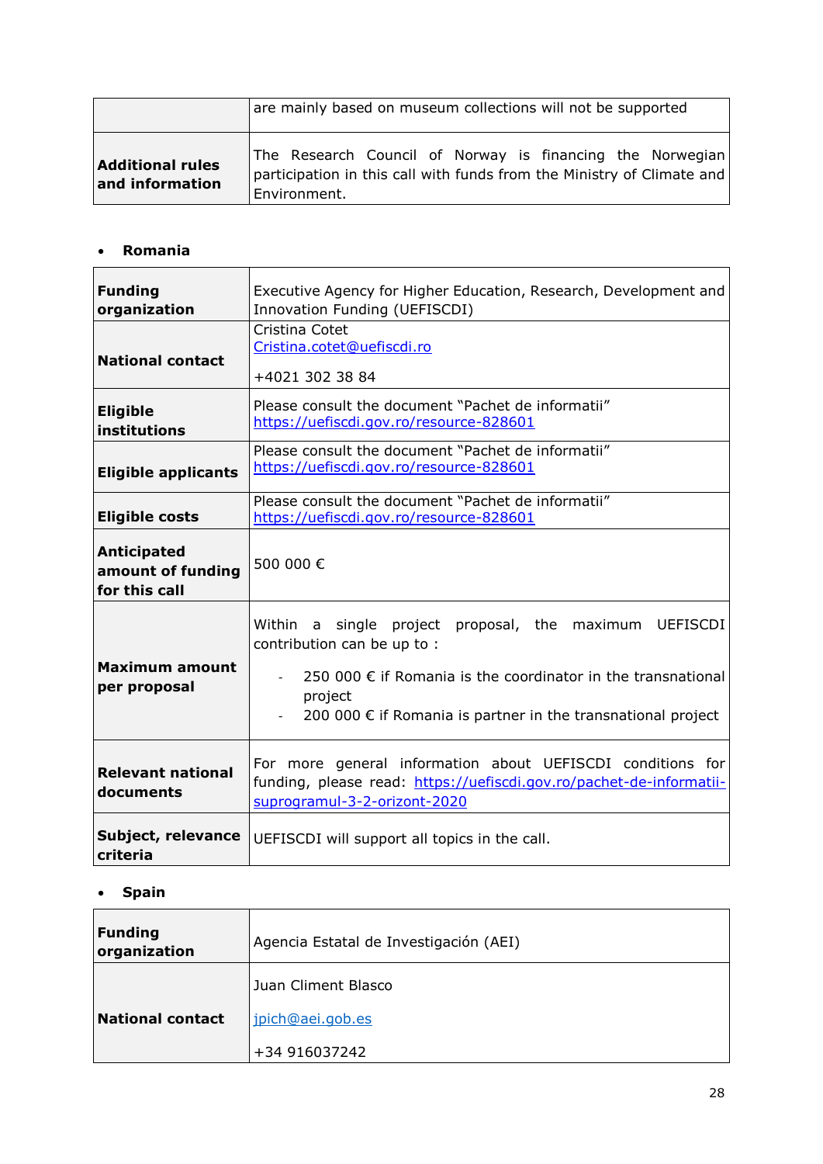|                                            | are mainly based on museum collections will not be supported                                                                                        |
|--------------------------------------------|-----------------------------------------------------------------------------------------------------------------------------------------------------|
| <b>Additional rules</b><br>and information | The Research Council of Norway is financing the Norwegian<br>participation in this call with funds from the Ministry of Climate and<br>Environment. |

# <span id="page-27-0"></span>**Romania**

| <b>Funding</b><br>organization                           | Executive Agency for Higher Education, Research, Development and<br>Innovation Funding (UEFISCDI)                                                                                                                                                   |
|----------------------------------------------------------|-----------------------------------------------------------------------------------------------------------------------------------------------------------------------------------------------------------------------------------------------------|
| <b>National contact</b>                                  | Cristina Cotet<br>Cristina.cotet@uefiscdi.ro<br>+4021 302 38 84                                                                                                                                                                                     |
| <b>Eligible</b><br>institutions                          | Please consult the document "Pachet de informatii"<br>https://uefiscdi.gov.ro/resource-828601                                                                                                                                                       |
| <b>Eligible applicants</b>                               | Please consult the document "Pachet de informatii"<br>https://uefiscdi.gov.ro/resource-828601                                                                                                                                                       |
| <b>Eligible costs</b>                                    | Please consult the document "Pachet de informatii"<br>https://uefiscdi.gov.ro/resource-828601                                                                                                                                                       |
| <b>Anticipated</b><br>amount of funding<br>for this call | 500 000€                                                                                                                                                                                                                                            |
| Maximum amount<br>per proposal                           | <b>UEFISCDI</b><br>Within a single project proposal, the maximum<br>contribution can be up to :<br>250 000 $\epsilon$ if Romania is the coordinator in the transnational<br>project<br>200 000 € if Romania is partner in the transnational project |
| <b>Relevant national</b><br>documents                    | For more general information about UEFISCDI conditions for<br>funding, please read: https://uefiscdi.gov.ro/pachet-de-informatii-<br>suprogramul-3-2-orizont-2020                                                                                   |
| Subject, relevance<br>criteria                           | UEFISCDI will support all topics in the call.                                                                                                                                                                                                       |

#### <span id="page-27-1"></span>**Spain**

| <b>Funding</b><br>organization | Agencia Estatal de Investigación (AEI) |
|--------------------------------|----------------------------------------|
|                                | Juan Climent Blasco                    |
| <b>National contact</b>        | jpich@aei.gob.es                       |
|                                | +34 916037242                          |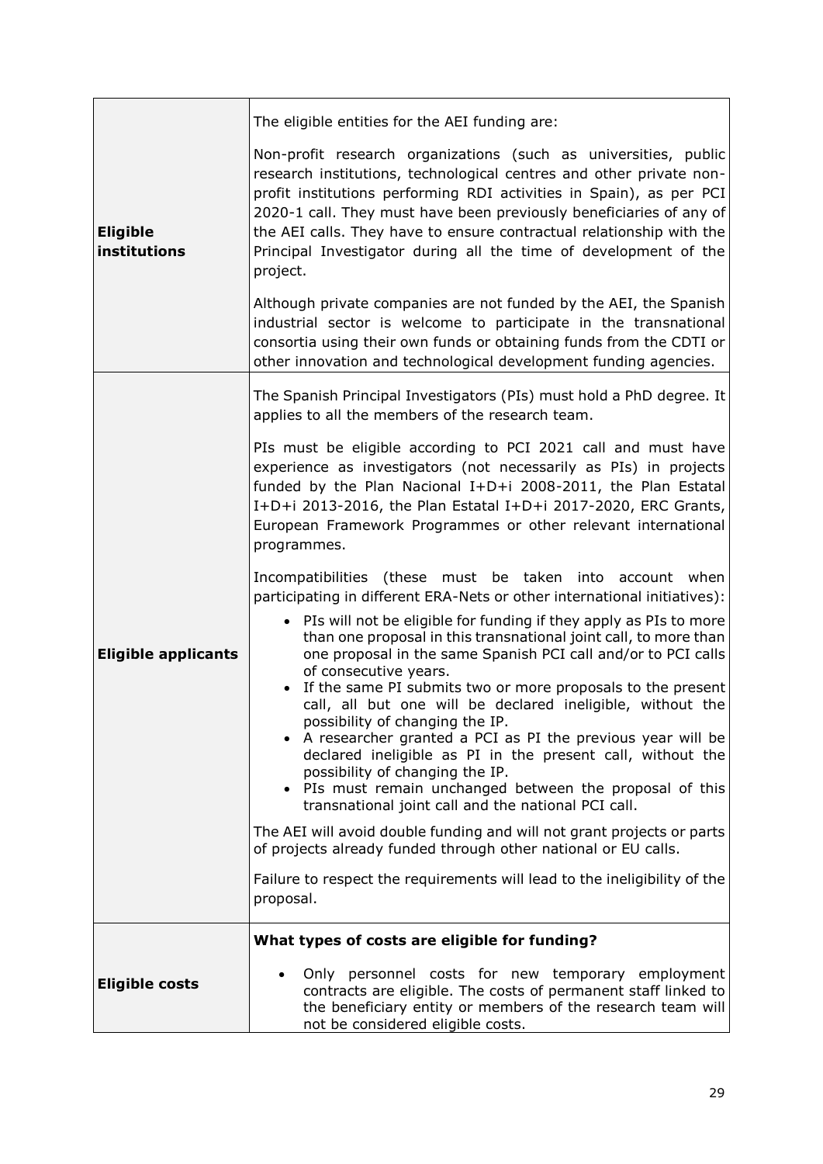|                                 | The eligible entities for the AEI funding are:                                                                                                                                                                                                                                                                                                                                                                                                                                                                                |
|---------------------------------|-------------------------------------------------------------------------------------------------------------------------------------------------------------------------------------------------------------------------------------------------------------------------------------------------------------------------------------------------------------------------------------------------------------------------------------------------------------------------------------------------------------------------------|
| <b>Eligible</b><br>institutions | Non-profit research organizations (such as universities, public<br>research institutions, technological centres and other private non-<br>profit institutions performing RDI activities in Spain), as per PCI<br>2020-1 call. They must have been previously beneficiaries of any of<br>the AEI calls. They have to ensure contractual relationship with the<br>Principal Investigator during all the time of development of the<br>project.                                                                                  |
|                                 | Although private companies are not funded by the AEI, the Spanish<br>industrial sector is welcome to participate in the transnational<br>consortia using their own funds or obtaining funds from the CDTI or<br>other innovation and technological development funding agencies.                                                                                                                                                                                                                                              |
|                                 | The Spanish Principal Investigators (PIs) must hold a PhD degree. It<br>applies to all the members of the research team.                                                                                                                                                                                                                                                                                                                                                                                                      |
|                                 | PIs must be eligible according to PCI 2021 call and must have<br>experience as investigators (not necessarily as PIs) in projects<br>funded by the Plan Nacional I+D+i 2008-2011, the Plan Estatal<br>I+D+i 2013-2016, the Plan Estatal I+D+i 2017-2020, ERC Grants,<br>European Framework Programmes or other relevant international<br>programmes.                                                                                                                                                                          |
|                                 | Incompatibilities (these must be taken into account when<br>participating in different ERA-Nets or other international initiatives):                                                                                                                                                                                                                                                                                                                                                                                          |
| <b>Eligible applicants</b>      | PIs will not be eligible for funding if they apply as PIs to more<br>than one proposal in this transnational joint call, to more than<br>one proposal in the same Spanish PCI call and/or to PCI calls<br>of consecutive years.<br>If the same PI submits two or more proposals to the present<br>call, all but one will be declared ineligible, without the<br>possibility of changing the IP.<br>• A researcher granted a PCI as PI the previous year will be<br>declared ineligible as PI in the present call, without the |
|                                 | possibility of changing the IP.<br>• PIs must remain unchanged between the proposal of this<br>transnational joint call and the national PCI call.                                                                                                                                                                                                                                                                                                                                                                            |
|                                 | The AEI will avoid double funding and will not grant projects or parts<br>of projects already funded through other national or EU calls.                                                                                                                                                                                                                                                                                                                                                                                      |
|                                 | Failure to respect the requirements will lead to the ineligibility of the<br>proposal.                                                                                                                                                                                                                                                                                                                                                                                                                                        |
|                                 | What types of costs are eligible for funding?                                                                                                                                                                                                                                                                                                                                                                                                                                                                                 |
| <b>Eligible costs</b>           | Only personnel costs for new temporary employment<br>contracts are eligible. The costs of permanent staff linked to<br>the beneficiary entity or members of the research team will<br>not be considered eligible costs.                                                                                                                                                                                                                                                                                                       |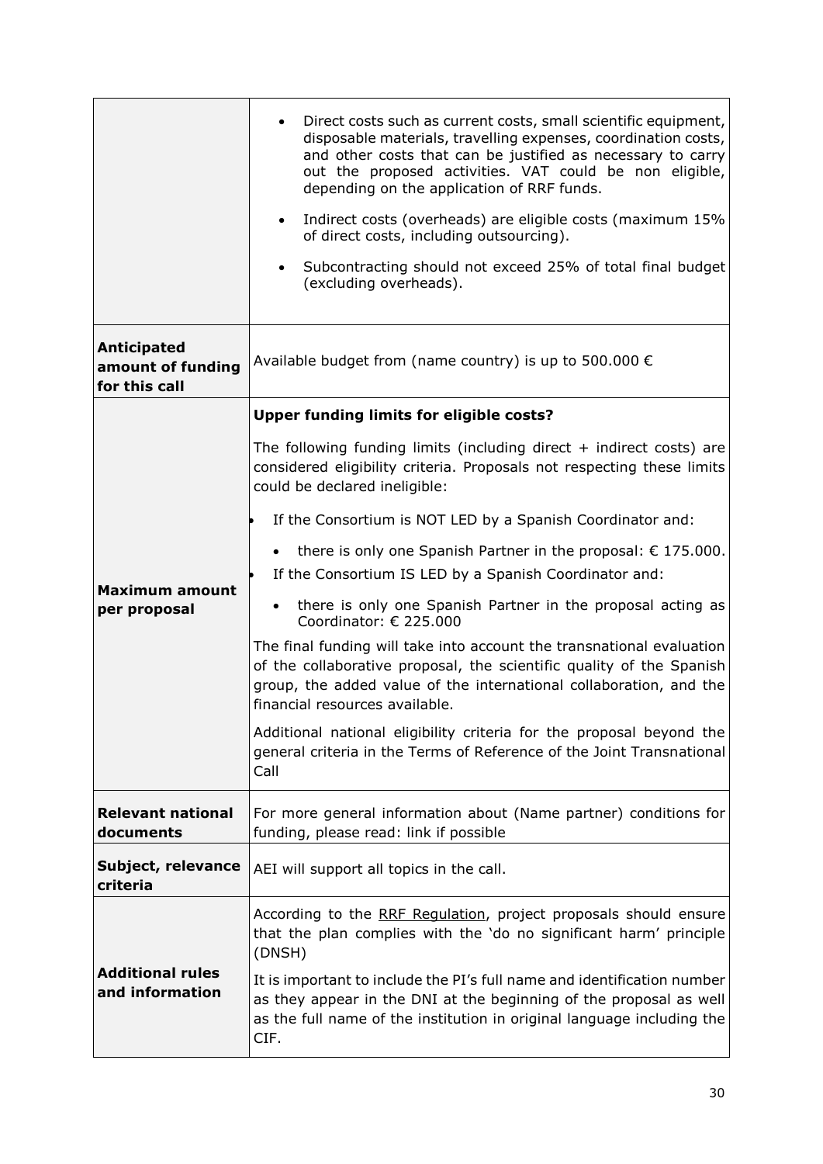|                                                          | Direct costs such as current costs, small scientific equipment,<br>disposable materials, travelling expenses, coordination costs,<br>and other costs that can be justified as necessary to carry<br>out the proposed activities. VAT could be non eligible,<br>depending on the application of RRF funds.<br>Indirect costs (overheads) are eligible costs (maximum 15%<br>$\bullet$<br>of direct costs, including outsourcing).<br>Subcontracting should not exceed 25% of total final budget<br>(excluding overheads). |
|----------------------------------------------------------|--------------------------------------------------------------------------------------------------------------------------------------------------------------------------------------------------------------------------------------------------------------------------------------------------------------------------------------------------------------------------------------------------------------------------------------------------------------------------------------------------------------------------|
| <b>Anticipated</b><br>amount of funding<br>for this call | Available budget from (name country) is up to 500.000 $\epsilon$                                                                                                                                                                                                                                                                                                                                                                                                                                                         |
|                                                          | <b>Upper funding limits for eligible costs?</b>                                                                                                                                                                                                                                                                                                                                                                                                                                                                          |
|                                                          | The following funding limits (including direct $+$ indirect costs) are<br>considered eligibility criteria. Proposals not respecting these limits<br>could be declared ineligible:                                                                                                                                                                                                                                                                                                                                        |
|                                                          | If the Consortium is NOT LED by a Spanish Coordinator and:                                                                                                                                                                                                                                                                                                                                                                                                                                                               |
| Maximum amount<br>per proposal                           | there is only one Spanish Partner in the proposal: $\epsilon$ 175.000.<br>$\bullet$<br>If the Consortium IS LED by a Spanish Coordinator and:                                                                                                                                                                                                                                                                                                                                                                            |
|                                                          | there is only one Spanish Partner in the proposal acting as<br>Coordinator: € 225.000                                                                                                                                                                                                                                                                                                                                                                                                                                    |
|                                                          | The final funding will take into account the transnational evaluation<br>of the collaborative proposal, the scientific quality of the Spanish<br>group, the added value of the international collaboration, and the<br>financial resources available.                                                                                                                                                                                                                                                                    |
|                                                          | Additional national eligibility criteria for the proposal beyond the<br>general criteria in the Terms of Reference of the Joint Transnational<br>Call                                                                                                                                                                                                                                                                                                                                                                    |
| <b>Relevant national</b><br>documents                    | For more general information about (Name partner) conditions for<br>funding, please read: link if possible                                                                                                                                                                                                                                                                                                                                                                                                               |
| Subject, relevance<br>criteria                           | AEI will support all topics in the call.                                                                                                                                                                                                                                                                                                                                                                                                                                                                                 |
| <b>Additional rules</b><br>and information               | According to the RRF Regulation, project proposals should ensure<br>that the plan complies with the 'do no significant harm' principle<br>(DNSH)                                                                                                                                                                                                                                                                                                                                                                         |
|                                                          | It is important to include the PI's full name and identification number<br>as they appear in the DNI at the beginning of the proposal as well<br>as the full name of the institution in original language including the<br>CIF.                                                                                                                                                                                                                                                                                          |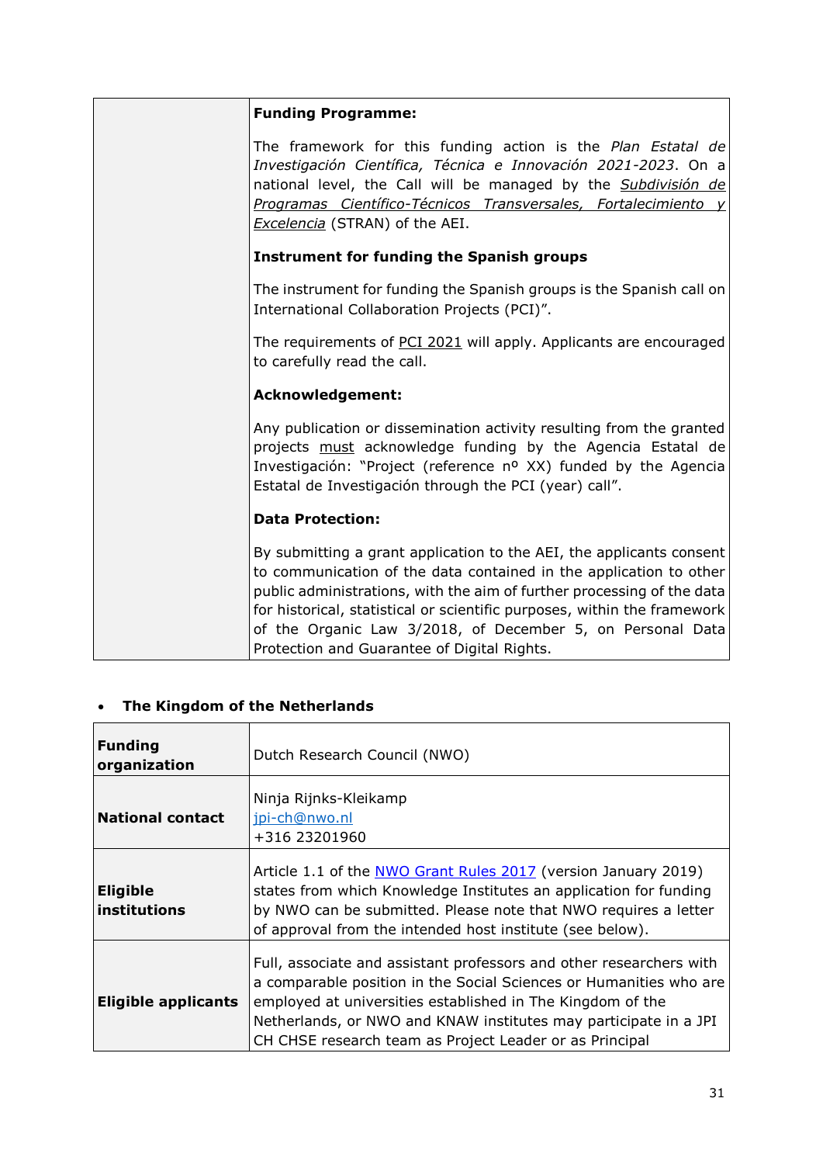| <b>Funding Programme:</b>                                                                                                                                                                                                                                                                                                                                                                                     |
|---------------------------------------------------------------------------------------------------------------------------------------------------------------------------------------------------------------------------------------------------------------------------------------------------------------------------------------------------------------------------------------------------------------|
| The framework for this funding action is the Plan Estatal de<br>Investigación Científica, Técnica e Innovación 2021-2023. On a<br>national level, the Call will be managed by the Subdivisión de<br>Programas Científico-Técnicos Transversales, Fortalecimiento y<br>Excelencia (STRAN) of the AEI.                                                                                                          |
| <b>Instrument for funding the Spanish groups</b>                                                                                                                                                                                                                                                                                                                                                              |
| The instrument for funding the Spanish groups is the Spanish call on<br>International Collaboration Projects (PCI)".                                                                                                                                                                                                                                                                                          |
| The requirements of PCI 2021 will apply. Applicants are encouraged<br>to carefully read the call.                                                                                                                                                                                                                                                                                                             |
| <b>Acknowledgement:</b>                                                                                                                                                                                                                                                                                                                                                                                       |
| Any publication or dissemination activity resulting from the granted<br>projects must acknowledge funding by the Agencia Estatal de<br>Investigación: "Project (reference nº XX) funded by the Agencia<br>Estatal de Investigación through the PCI (year) call".                                                                                                                                              |
| <b>Data Protection:</b>                                                                                                                                                                                                                                                                                                                                                                                       |
| By submitting a grant application to the AEI, the applicants consent<br>to communication of the data contained in the application to other<br>public administrations, with the aim of further processing of the data<br>for historical, statistical or scientific purposes, within the framework<br>of the Organic Law 3/2018, of December 5, on Personal Data<br>Protection and Guarantee of Digital Rights. |

# <span id="page-30-0"></span>**The Kingdom of the Netherlands**

| Funding<br>organization                 | Dutch Research Council (NWO)                                                                                                                                                                                                                                                                                                           |
|-----------------------------------------|----------------------------------------------------------------------------------------------------------------------------------------------------------------------------------------------------------------------------------------------------------------------------------------------------------------------------------------|
| National contact                        | Ninja Rijnks-Kleikamp<br>jpi-ch@nwo.nl<br>+316 23201960                                                                                                                                                                                                                                                                                |
| <b>Eligible</b><br><b>linstitutions</b> | Article 1.1 of the NWO Grant Rules 2017 (version January 2019)<br>states from which Knowledge Institutes an application for funding<br>by NWO can be submitted. Please note that NWO requires a letter<br>of approval from the intended host institute (see below).                                                                    |
| <b>Eligible applicants</b>              | Full, associate and assistant professors and other researchers with<br>a comparable position in the Social Sciences or Humanities who are<br>employed at universities established in The Kingdom of the<br>Netherlands, or NWO and KNAW institutes may participate in a JPI<br>CH CHSE research team as Project Leader or as Principal |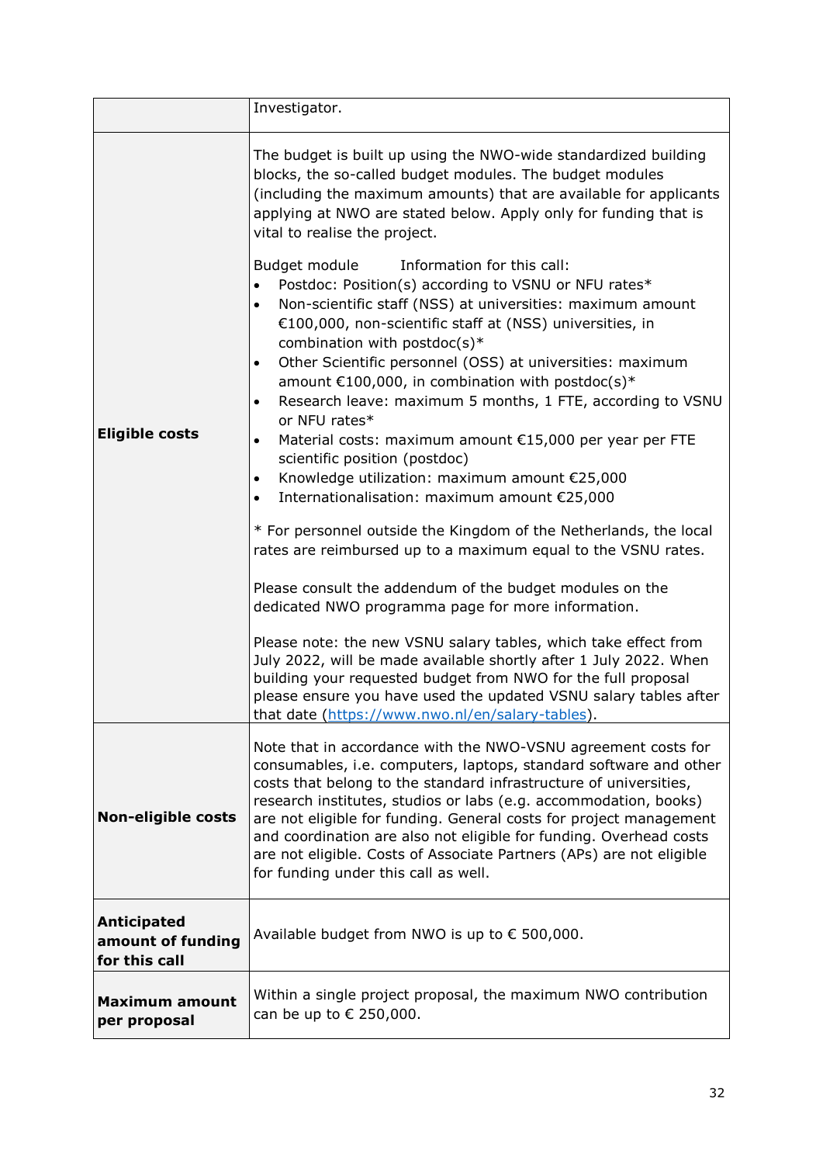|                                                   | Investigator.                                                                                                                                                                                                                                                                                                                                                                                                                                                                                                                                                                                                                                                                                                               |
|---------------------------------------------------|-----------------------------------------------------------------------------------------------------------------------------------------------------------------------------------------------------------------------------------------------------------------------------------------------------------------------------------------------------------------------------------------------------------------------------------------------------------------------------------------------------------------------------------------------------------------------------------------------------------------------------------------------------------------------------------------------------------------------------|
| <b>Eligible costs</b>                             | The budget is built up using the NWO-wide standardized building<br>blocks, the so-called budget modules. The budget modules<br>(including the maximum amounts) that are available for applicants<br>applying at NWO are stated below. Apply only for funding that is<br>vital to realise the project.<br>Budget module<br>Information for this call:<br>Postdoc: Position(s) according to VSNU or NFU rates*                                                                                                                                                                                                                                                                                                                |
|                                                   | Non-scientific staff (NSS) at universities: maximum amount<br>€100,000, non-scientific staff at (NSS) universities, in<br>combination with postdoc(s)*<br>Other Scientific personnel (OSS) at universities: maximum<br>amount $£100,000$ , in combination with postdoc(s)*<br>Research leave: maximum 5 months, 1 FTE, according to VSNU<br>$\bullet$<br>or NFU rates*<br>Material costs: maximum amount €15,000 per year per FTE<br>٠<br>scientific position (postdoc)<br>Knowledge utilization: maximum amount €25,000<br>Internationalisation: maximum amount €25,000<br>$\bullet$<br>* For personnel outside the Kingdom of the Netherlands, the local<br>rates are reimbursed up to a maximum equal to the VSNU rates. |
|                                                   | Please consult the addendum of the budget modules on the<br>dedicated NWO programma page for more information.<br>Please note: the new VSNU salary tables, which take effect from<br>July 2022, will be made available shortly after 1 July 2022. When<br>building your requested budget from NWO for the full proposal<br>please ensure you have used the updated VSNU salary tables after<br>that date (https://www.nwo.nl/en/salary-tables).                                                                                                                                                                                                                                                                             |
| <b>Non-eligible costs</b>                         | Note that in accordance with the NWO-VSNU agreement costs for<br>consumables, i.e. computers, laptops, standard software and other<br>costs that belong to the standard infrastructure of universities,<br>research institutes, studios or labs (e.g. accommodation, books)<br>are not eligible for funding. General costs for project management<br>and coordination are also not eligible for funding. Overhead costs<br>are not eligible. Costs of Associate Partners (APs) are not eligible<br>for funding under this call as well.                                                                                                                                                                                     |
| Anticipated<br>amount of funding<br>for this call | Available budget from NWO is up to € 500,000.                                                                                                                                                                                                                                                                                                                                                                                                                                                                                                                                                                                                                                                                               |
| <b>Maximum amount</b><br>per proposal             | Within a single project proposal, the maximum NWO contribution<br>can be up to $\epsilon$ 250,000.                                                                                                                                                                                                                                                                                                                                                                                                                                                                                                                                                                                                                          |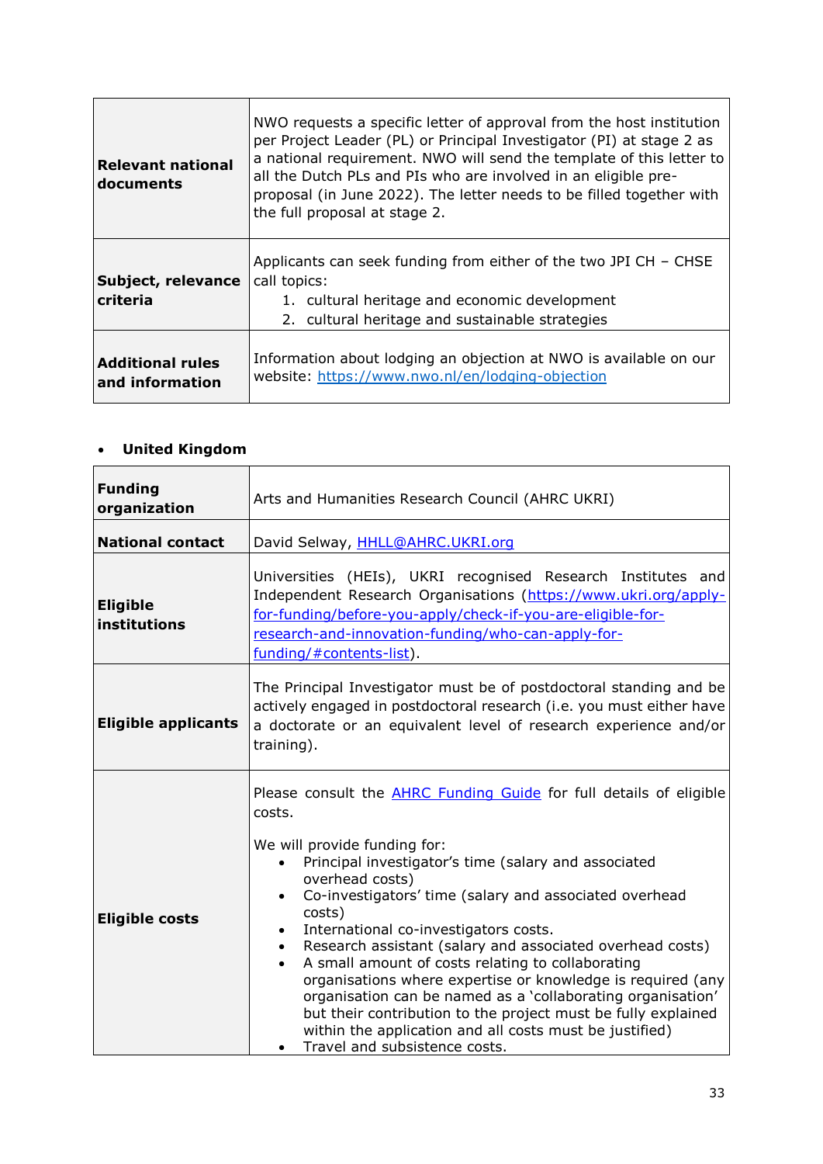| <b>Relevant national</b><br>documents      | NWO requests a specific letter of approval from the host institution<br>per Project Leader (PL) or Principal Investigator (PI) at stage 2 as<br>a national requirement. NWO will send the template of this letter to<br>all the Dutch PLs and PIs who are involved in an eligible pre-<br>proposal (in June 2022). The letter needs to be filled together with<br>the full proposal at stage 2. |
|--------------------------------------------|-------------------------------------------------------------------------------------------------------------------------------------------------------------------------------------------------------------------------------------------------------------------------------------------------------------------------------------------------------------------------------------------------|
| Subject, relevance<br>criteria             | Applicants can seek funding from either of the two JPI CH $-$ CHSE<br>call topics:<br>1. cultural heritage and economic development<br>2. cultural heritage and sustainable strategies                                                                                                                                                                                                          |
| <b>Additional rules</b><br>and information | Information about lodging an objection at NWO is available on our<br>website: https://www.nwo.nl/en/lodging-objection                                                                                                                                                                                                                                                                           |

# <span id="page-32-0"></span>**United Kingdom**

| <b>Funding</b><br>organization  | Arts and Humanities Research Council (AHRC UKRI)                                                                                                                                                                                                                                                                                                                                                                                                                                                                                                                                                                                                                                                                                                                |
|---------------------------------|-----------------------------------------------------------------------------------------------------------------------------------------------------------------------------------------------------------------------------------------------------------------------------------------------------------------------------------------------------------------------------------------------------------------------------------------------------------------------------------------------------------------------------------------------------------------------------------------------------------------------------------------------------------------------------------------------------------------------------------------------------------------|
| <b>National contact</b>         | David Selway, HHLL@AHRC.UKRI.org                                                                                                                                                                                                                                                                                                                                                                                                                                                                                                                                                                                                                                                                                                                                |
| <b>Eligible</b><br>institutions | Universities (HEIs), UKRI recognised Research Institutes and<br>Independent Research Organisations (https://www.ukri.org/apply-<br>for-funding/before-you-apply/check-if-you-are-eligible-for-<br>research-and-innovation-funding/who-can-apply-for-<br>funding/#contents-list).                                                                                                                                                                                                                                                                                                                                                                                                                                                                                |
| <b>Eligible applicants</b>      | The Principal Investigator must be of postdoctoral standing and be<br>actively engaged in postdoctoral research (i.e. you must either have<br>a doctorate or an equivalent level of research experience and/or<br>training).                                                                                                                                                                                                                                                                                                                                                                                                                                                                                                                                    |
| <b>Eligible costs</b>           | Please consult the <b>AHRC Funding Guide</b> for full details of eligible<br>costs.<br>We will provide funding for:<br>Principal investigator's time (salary and associated<br>overhead costs)<br>Co-investigators' time (salary and associated overhead<br>$\bullet$<br>costs)<br>International co-investigators costs.<br>Research assistant (salary and associated overhead costs)<br>$\bullet$<br>A small amount of costs relating to collaborating<br>organisations where expertise or knowledge is required (any<br>organisation can be named as a 'collaborating organisation'<br>but their contribution to the project must be fully explained<br>within the application and all costs must be justified)<br>Travel and subsistence costs.<br>$\bullet$ |